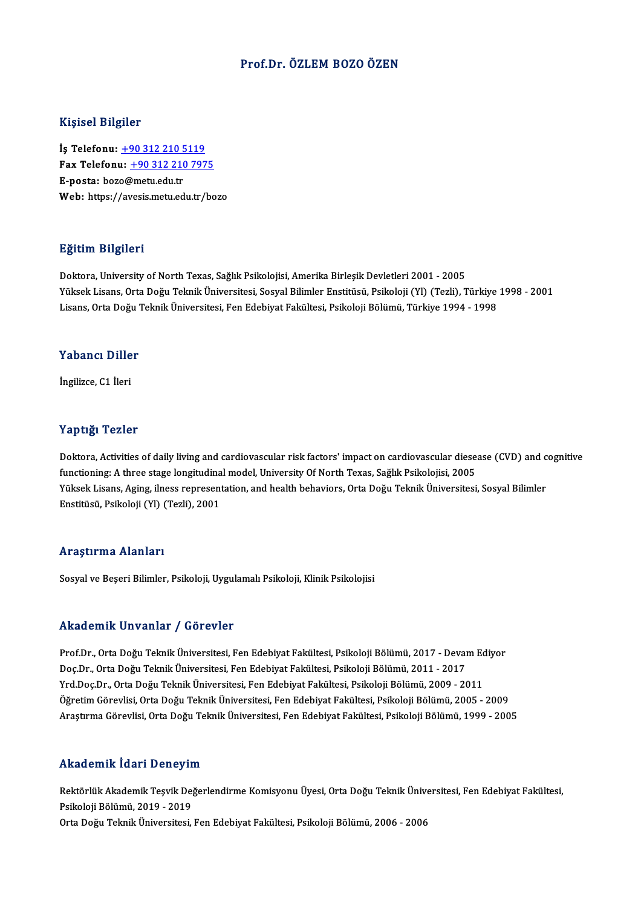### Prof.Dr. ÖZLEM BOZO ÖZEN

### Kişisel Bilgiler

Kişisel Bilgiler<br>İş Telefonu: <u>+90 312 210 5119</u><br>Fax Telefonu: +90 312 210 797 1133001 2115101<br>İş Telefonu: <u>+90 312 210 5119</u><br>Fax Telefonu: <u>+90 312 210 7975</u> İş Telefonu: <u>+90 312 210 5</u><br>Fax Telefonu: <u>+90 312 210</u><br>E-posta: boz[o@metu.edu.tr](tel:+90 312 210 5119)<br>Web: https://avesis.metu.ed Fax Telefonu: <u>+90 312 210 7975</u><br>E-posta: bozo@metu.edu.tr<br>Web: https://a[vesis.metu.edu.tr/bo](tel:+90 312 210 7975)zo

### Eğitim Bilgileri

Doktora, University of North Texas, Sağlık Psikolojisi, Amerika Birleşik Devletleri 2001 - 2005 23.<br>Doktora, University of North Texas, Sağlık Psikolojisi, Amerika Birleşik Devletleri 2001 - 2005<br>Yüksek Lisans, Orta Doğu Teknik Üniversitesi, Sosyal Bilimler Enstitüsü, Psikoloji (Yl) (Tezli), Türkiye 1998 - 2001<br>Lisan Doktora, University of North Texas, Sağlık Psikolojisi, Amerika Birleşik Devletleri 2001 - 2005<br>Yüksek Lisans, Orta Doğu Teknik Üniversitesi, Sosyal Bilimler Enstitüsü, Psikoloji (Yl) (Tezli), Türkiye<br>Lisans, Orta Doğu Tek Lisans, Orta Doğu Teknik Üniversitesi, Fen Edebiyat Fakültesi, Psikoloji Bölümü, Türkiye 1994 - 1998<br>Yabancı Diller

İngilizce,C1 İleri

### Yaptığı Tezler

Yaptığı Tezler<br>Doktora, Activities of daily living and cardiovascular risk factors' impact on cardiovascular diesease (CVD) and cognitive<br>functioning: A three stage longitudinal model. University Of North Texas, Seğlik Psi functions, Activities of daily living and cardiovascular risk factors' impact on cardiovascular diese.<br>functioning: A three stage longitudinal model, University Of North Texas, Sağlık Psikolojisi, 2005<br>Vülgek Lisans, Aging Doktora, Activities of daily living and cardiovascular risk factors' impact on cardiovascular diesease (CVD) and c<br>functioning: A three stage longitudinal model, University Of North Texas, Sağlık Psikolojisi, 2005<br>Yüksek L functioning: A three stage longitudina<br>Yüksek Lisans, Aging, ilness represent<br>Enstitüsü, Psikoloji (Yl) (Tezli), 2001 Enstitüsü, Psikoloji (Yl) (Tezli), 2001<br>Araştırma Alanları

Sosyal ve Beşeri Bilimler, Psikoloji, Uygulamalı Psikoloji, Klinik Psikolojisi

### Akademik Unvanlar / Görevler

Akademik Unvanlar / Görevler<br>Prof.Dr., Orta Doğu Teknik Üniversitesi, Fen Edebiyat Fakültesi, Psikoloji Bölümü, 2017 - Devam Ediyor<br>Des Dr., Orta Doğu Teknik Üniversitesi, Fen Edebiyat Fakültesi, Psikoloji Bölümü, 2011 - 2 rındu olirin "oli vulitar" yı döz ovter<br>Prof.Dr., Orta Doğu Teknik Üniversitesi, Fen Edebiyat Fakültesi, Psikoloji Bölümü, 2017 - Deval<br>Doç.Dr., Orta Doğu Teknik Üniversitesi, Fen Edebiyat Fakültesi, Psikoloji Bölümü, 2011 Prof.Dr., Orta Doğu Teknik Üniversitesi, Fen Edebiyat Fakültesi, Psikoloji Bölümü, 2017 - Devam Ed<br>Doç.Dr., Orta Doğu Teknik Üniversitesi, Fen Edebiyat Fakültesi, Psikoloji Bölümü, 2011 - 2017<br>Yrd.Doç.Dr., Orta Doğu Teknik Doç.Dr., Orta Doğu Teknik Üniversitesi, Fen Edebiyat Fakültesi, Psikoloji Bölümü, 2011 - 2017<br>Yrd.Doç.Dr., Orta Doğu Teknik Üniversitesi, Fen Edebiyat Fakültesi, Psikoloji Bölümü, 2009 - 2011<br>Öğretim Görevlisi, Orta Doğu T Yrd.Doç.Dr., Orta Doğu Teknik Üniversitesi, Fen Edebiyat Fakültesi, Psikoloji Bölümü, 2009 - 2011<br>Öğretim Görevlisi, Orta Doğu Teknik Üniversitesi, Fen Edebiyat Fakültesi, Psikoloji Bölümü, 2005 - 2009<br>Araştırma Görevlisi, Araştırma Görevlisi, Orta Doğu Teknik Üniversitesi, Fen Edebiyat Fakültesi, Psikoloji Bölümü, 1999 - 2005<br>Akademik İdari Deneyim

Akademik İdari Deneyim<br>Rektörlük Akademik Teşvik Değerlendirme Komisyonu Üyesi, Orta Doğu Teknik Üniversitesi, Fen Edebiyat Fakültesi,<br>Psikoloji Pölümü, 2019, ...2019 rmaa ommaa aart 2 onoym<br>Rektörlük Akademik Teşvik Dej<br>Psikoloji Bölümü, 2019 - 2019<br>Orta Dežu Telmik Üniversitesi Rektörlük Akademik Teşvik Değerlendirme Komisyonu Üyesi, Orta Doğu Teknik Ünive<br>Psikoloji Bölümü, 2019 - 2019<br>Orta Doğu Teknik Üniversitesi, Fen Edebiyat Fakültesi, Psikoloji Bölümü, 2006 - 2006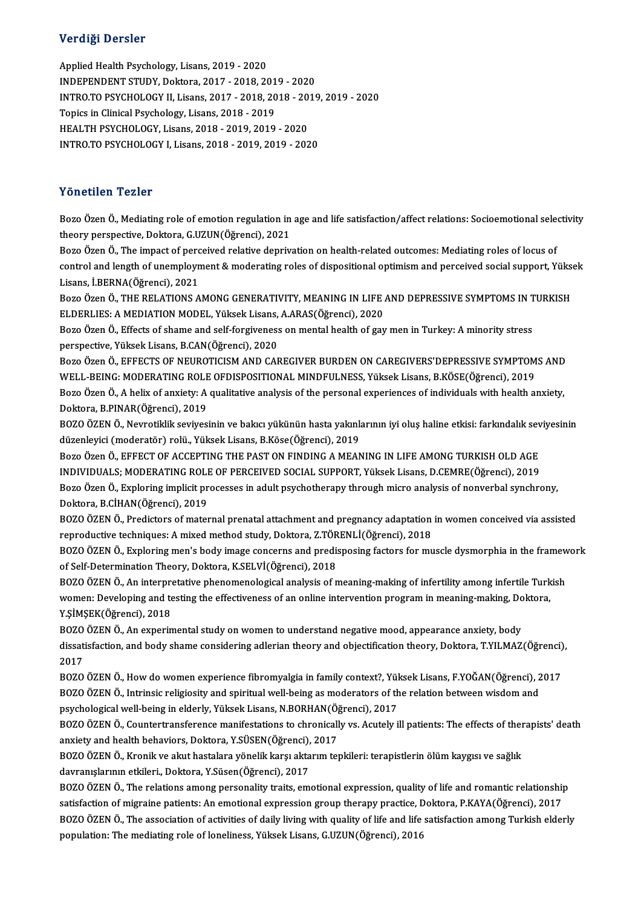## Verdiği Dersler

Applied Health Psychology, Lisans, 2019 - 2020 INDEPENDENTSTUDY,Doktora,2017 -2018,2019 -2020 Applied Health Psychology, Lisans, 2019 - 2020<br>INDEPENDENT STUDY, Doktora, 2017 - 2018, 2019 - 2020<br>INTRO.TO PSYCHOLOGY II, Lisans, 2017 - 2018, 2018 - 2019, 2019 - 2020<br>Tonics in Clinical Psychology, Lisans, 2019, 2019 Topics in Clinical Psychology, Lisans, 2018 - 2019<br>HEALTH PSYCHOLOGY, Lisans, 2018 - 2019, 2019 - 2020 INTRO.TO PSYCHOLOGY II, Lisans, 2017 - 2018, 2018 - 20<br>Topics in Clinical Psychology, Lisans, 2018 - 2019<br>HEALTH PSYCHOLOGY, Lisans, 2018 - 2019, 2019 - 2020<br>INTRO TO PSYCHOLOGY L Lisans, 2018 - 2019, 2019 - 202 INTRO.TOPSYCHOLOGYI,Lisans,2018 -2019,2019 -2020

## Yönetilen Tezler

Yönetilen Tezler<br>Bozo Özen Ö., Mediating role of emotion regulation in age and life satisfaction/affect relations: Socioemotional selectivity<br>theem: perspective Dektere CUZUN(Öğrensi), 2021 tonoenten 1 enter<br>Bozo Özen Ö., Mediating role of emotion regulation in<br>theory perspective, Doktora, G.UZUN(Öğrenci), 2021<br>Bozo Özen Ö. The impect of perseived relative deptive Bozo Özen Ö., Mediating role of emotion regulation in age and life satisfaction/affect relations: Socioemotional selectiony perspective, Doktora, G.UZUN(Öğrenci), 2021<br>Bozo Özen Ö., The impact of perceived relative depriva

theory perspective, Doktora, G.UZUN(Öğrenci), 2021<br>Bozo Özen Ö., The impact of perceived relative deprivation on health-related outcomes: Mediating roles of locus of<br>control and length of unemployment & moderating roles of Bozo Özen Ö., The impact of perc<br>control and length of unemployn<br>Lisans, İ.BERNA(Öğrenci), 2021<br>Boze Özen Ö. THE BELATIONS A control and length of unemployment & moderating roles of dispositional optimism and perceived social support, Yükse<br>Lisans, İ.BERNA(Öğrenci), 2021<br>Bozo Özen Ö., THE RELATIONS AMONG GENERATIVITY, MEANING IN LIFE AND DEPRESS

Lisans, İ.BERNA(Öğrenci), 2021<br>Bozo Özen Ö., THE RELATIONS AMONG GENERATIVITY, MEANING IN LIFE .<br>ELDERLIES: A MEDIATION MODEL, Yüksek Lisans, A.ARAS(Öğrenci), 2020<br>Bozo Özen Ö. Effecte of shame and self forsüreness en ment Bozo Özen Ö., THE RELATIONS AMONG GENERATIVITY, MEANING IN LIFE AND DEPRESSIVE SYMPTOMS IN T<br>ELDERLIES: A MEDIATION MODEL, Yüksek Lisans, A.ARAS(Öğrenci), 2020<br>Bozo Özen Ö., Effects of shame and self-forgiveness on mental

ELDERLIES: A MEDIATION MODEL, Yüksek Lisans, A.ARAS(Öğrenci), 2020<br>Bozo Özen Ö., Effects of shame and self-forgiveness on mental health of gay men in Turkey: A minority stress<br>perspective, Yüksek Lisans, B.CAN(Öğrenci), 20 Bozo Özen Ö., Effects of shame and self-forgiveness on mental health of gay men in Turkey: A minority stress<br>perspective, Yüksek Lisans, B.CAN(Öğrenci), 2020<br>Bozo Özen Ö., EFFECTS OF NEUROTICISM AND CAREGIVER BURDEN ON CAR

perspective, Yüksek Lisans, B.CAN(Öğrenci), 2020<br>Bozo Özen Ö., EFFECTS OF NEUROTICISM AND CAREGIVER BURDEN ON CAREGIVERS'DEPRESSIVE SYMPTOM<br>WELL-BEING: MODERATING ROLE OFDISPOSITIONAL MINDFULNESS, Yüksek Lisans, B.KÖSE(Öğr Bozo Özen Ö., EFFECTS OF NEUROTICISM AND CAREGIVER BURDEN ON CAREGIVERS'DEPRESSIVE SYMPTOMS AND<br>WELL-BEING: MODERATING ROLE OFDISPOSITIONAL MINDFULNESS, Yüksek Lisans, B.KÖSE(Öğrenci), 2019<br>Bozo Özen Ö., A helix of anxiety WELL-BEING: MODERATING ROLE OFDISPOSITIONAL MINDFULNESS, Yüksek Lisans, B.KÖSE(Öğrenci), 2019<br>Bozo Özen Ö., A helix of anxiety: A qualitative analysis of the personal experiences of individuals with health anxiety,<br>Doktora

Bozo Özen Ö., A helix of anxiety: A qualitative analysis of the personal experiences of individuals with health anxiety,<br>Doktora, B.PINAR(Öğrenci), 2019<br>BOZO ÖZEN Ö., Nevrotiklik seviyesinin ve bakıcı yükünün hasta yakınla Doktora, B.PINAR(Öğrenci), 2019<br>BOZO ÖZEN Ö., Nevrotiklik seviyesinin ve bakıcı yükünün hasta yakınlı<br>düzenleyici (moderatör) rolü., Yüksek Lisans, B.Köse(Öğrenci), 2019<br>Bozo Özen Ö., EEEECT OE ACCERTINC THE BAST ON EINDIN BOZO ÖZEN Ö., Nevrotiklik seviyesinin ve bakıcı yükünün hasta yakınlarının iyi oluş haline etkisi: farkındalık sev<br>düzenleyici (moderatör) rolü., Yüksek Lisans, B.Köse(Öğrenci), 2019<br>Bozo Özen Ö., EFFECT OF ACCEPTING THE P

düzenleyici (moderatör) rolü., Yüksek Lisans, B.Köse(Öğrenci), 2019<br>Bozo Özen Ö., EFFECT OF ACCEPTING THE PAST ON FINDING A MEANING IN LIFE AMONG TURKISH OLD AGE<br>INDIVIDUALS; MODERATING ROLE OF PERCEIVED SOCIAL SUPPORT, Yü Bozo Özen Ö., EFFECT OF ACCEPTING THE PAST ON FINDING A MEANING IN LIFE AMONG TURKISH OLD AGE<br>INDIVIDUALS; MODERATING ROLE OF PERCEIVED SOCIAL SUPPORT, Yüksek Lisans, D.CEMRE(Öğrenci), 2019<br>Bozo Özen Ö., Exploring implicit INDIVIDUALS; MODERATING ROLI<br>Bozo Özen Ö., Exploring implicit pr<br>Doktora, B.CİHAN(Öğrenci), 2019<br>BOZO ÖZEN Ö., Prodistara of matar Bozo Özen Ö., Exploring implicit processes in adult psychotherapy through micro analysis of nonverbal synchrony,<br>Doktora, B.CİHAN(Öğrenci), 2019<br>BOZO ÖZEN Ö., Predictors of maternal prenatal attachment and pregnancy adapta

Doktora, B.CİHAN(Öğrenci), 2019<br>BOZO ÖZEN Ö., Predictors of maternal prenatal attachment and pregnancy adaptation in women conceived via assisted reproductive techniques: A mixed method study, Doktora, Z.TÖRENLİ(Öğrenci), 2018

BOZO ÖZEN Ö., Exploring men's body image concerns and predisposing factors for muscle dysmorphia in the framework<br>of Self-Determination Theory, Doktora, K.SELVİ(Öğrenci), 2018 BOZO ÖZEN Ö., Exploring men's body image concerns and predisposing factors for muscle dysmorphia in the framew<br>of Self-Determination Theory, Doktora, K.SELVİ(Öğrenci), 2018<br>BOZO ÖZEN Ö., An interpretative phenomenological

of Self-Determination Theory, Doktora, K.SELVİ(Öğrenci), 2018<br>BOZO ÖZEN Ö., An interpretative phenomenological analysis of meaning-making of infertility among infertile Turk<br>women: Developing and testing the effectiveness BOZO ÖZEN Ö., An interpre<br>women: Developing and te<br>Y.ŞİMŞEK(Öğrenci), 2018<br>POZO ÖZEN Ö. An ovnorin women: Developing and testing the effectiveness of an online intervention program in meaning-making, Do<br>Y.ŞİMŞEK(Öğrenci), 2018<br>BOZO ÖZEN Ö., An experimental study on women to understand negative mood, appearance anxiety,

Y.ŞİMŞEK(Öğrenci), 2018<br>BOZO ÖZEN Ö., An experimental study on women to understand negative mood, appearance anxiety, body<br>dissatisfaction, and body shame considering adlerian theory and objectification theory, Doktora, T. 1<br>BOZO<br>2017<br>POZO dissatisfaction, and body shame considering adlerian theory and objectification theory, Doktora, T.YILMAZ(Öğrenci)<br>2017<br>BOZO ÖZEN Ö., How do women experience fibromyalgia in family context?, Yüksek Lisans, F.YOĞAN(Öğrenci)

2017<br>BOZO ÖZEN Ö., How do women experience fibromyalgia in family context?, Yüksek Lisans, F.YOĞAN(Öğrenci), 2<br>BOZO ÖZEN Ö., Intrinsic religiosity and spiritual well-being as moderators of the relation between wisdom and<br>p BOZO ÖZEN Ö., How do women experience fibromyalgia in family context?, Yül<br>BOZO ÖZEN Ö., Intrinsic religiosity and spiritual well-being as moderators of th<br>psychological well-being in elderly, Yüksek Lisans, N.BORHAN(Öğren BOZO ÖZEN Ö., Intrinsic religiosity and spiritual well-being as moderators of the relation between wisdom and<br>psychological well-being in elderly, Yüksek Lisans, N.BORHAN(Öğrenci), 2017<br>BOZO ÖZEN Ö., Countertransference ma

psychological well-being in elderly, Yüksek Lisans, N.BORHAN(Öğ<br>BOZO ÖZEN Ö., Countertransference manifestations to chronicall<br>anxiety and health behaviors, Doktora, Y.SÜSEN(Öğrenci), 2017<br>BOZO ÖZEN Ö., Kronik ve elüt best BOZO ÖZEN Ö., Countertransference manifestations to chronically vs. Acutely ill patients: The effects of ther<br>anxiety and health behaviors, Doktora, Y.SÜSEN(Öğrenci), 2017<br>BOZO ÖZEN Ö., Kronik ve akut hastalara yönelik kar

anxiety and health behaviors, Doktora, Y.SÜSEN(Öğrenci), 2017<br>BOZO ÖZEN Ö., Kronik ve akut hastalara yönelik karşı aktarım tepkileri: terapistlerin ölüm kaygısı ve sağlık<br>davranışlarının etkileri., Doktora, Y.Süsen(Öğrenci BOZO ÖZEN Ö., Kronik ve akut hastalara yönelik karşı aktarım tepkileri: terapistlerin ölüm kaygısı ve sağlık<br>davranışlarının etkileri., Doktora, Y.Süsen(Öğrenci), 2017<br>BOZO ÖZEN Ö., The relations among personality traits,

davranışlarının etkileri., Doktora, Y.Süsen(Öğrenci), 2017<br>BOZO ÖZEN Ö., The relations among personality traits, emotional expression, quality of life and romantic relationship<br>satisfaction of migraine patients: An emotion BOZO ÖZEN Ö., The relations among personality traits, emotional expression, quality of life and romantic relationship<br>satisfaction of migraine patients: An emotional expression group therapy practice, Doktora, P.KAYA(Öğren satisfaction of migraine patients: An emotional expression group therapy practice, <mark>C</mark><br>BOZO ÖZEN Ö., The association of activities of daily living with quality of life and life<br>population: The mediating role of loneliness,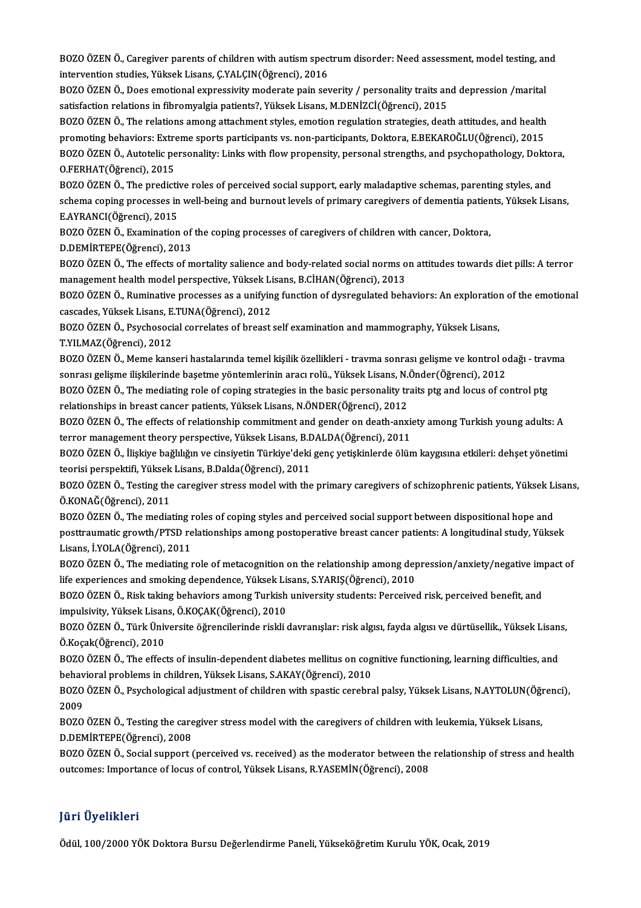BOZO ÖZEN Ö., Caregiver parents of children with autism spectrum disorder: Need assessment, model testing, and<br>intervention studies Vülgel: Lisans, G.VALGIN(Öğrengi), 2016 1980 ÖZEN Ö., Caregiver parents of children with autism spect<br>intervention studies, Yüksek Lisans, Ç.YALÇIN(Öğrenci), 2016<br>POZO ÖZEN Ö. Dees ametional aynnessiyity medanate najn ser BOZO ÖZEN Ö., Caregiver parents of children with autism spectrum disorder: Need assessment, model testing, an<br>intervention studies, Yüksek Lisans, Ç.YALÇIN(Öğrenci), 2016<br>BOZO ÖZEN Ö., Does emotional expressivity moderate

intervention studies, Yüksek Lisans, Ç.YALÇIN(Öğrenci), 2016<br>BOZO ÖZEN Ö., Does emotional expressivity moderate pain severity / personality traits and depression /marital<br>satisfaction relations in fibromyalgia patients?, Y BOZO ÖZEN Ö., Does emotional expressivity moderate pain severity / personality traits and depression /marital<br>satisfaction relations in fibromyalgia patients?, Yüksek Lisans, M.DENİZCİ(Öğrenci), 2015<br>BOZO ÖZEN Ö., The rela

satisfaction relations in fibromyalgia patients?, Yüksek Lisans, M.DENİZCİ(Öğrenci), 2015<br>BOZO ÖZEN Ö., The relations among attachment styles, emotion regulation strategies, death attitudes, and health<br>promoting behaviors: BOZO ÖZEN Ö., The relations among attachment styles, emotion regulation strategies, death attitudes, and health<br>promoting behaviors: Extreme sports participants vs. non-participants, Doktora, E.BEKAROĞLU(Öğrenci), 2015<br>BOZ promoting behaviors: Extre<br>BOZO ÖZEN Ö., Autotelic pe<br>O.FERHAT(Öğrenci), 2015<br>POZO ÖZEN Ö., The predict BOZO ÖZEN Ö., Autotelic personality: Links with flow propensity, personal strengths, and psychopathology, Doktor<br>O.FERHAT(Öğrenci), 2015<br>BOZO ÖZEN Ö., The predictive roles of perceived social support, early maladaptive sch

O.FERHAT(Öğrenci), 2015<br>BOZO ÖZEN Ö., The predictive roles of perceived social support, early maladaptive schemas, parenting styles, and<br>schema coping processes in well-being and burnout levels of primary caregivers of dem BOZO ÖZEN Ö., The predictiv<br>schema coping processes in<br>E.AYRANCI(Öğrenci), 2015<br>POZO ÖZEN Ö., Evamination schema coping processes in well-being and burnout levels of primary caregivers of dementia patien<br>E.AYRANCI(Öğrenci), 2015<br>BOZO ÖZEN Ö., Examination of the coping processes of caregivers of children with cancer, Doktora,<br>D

E.AYRANCI(Öğrenci), 2015<br>BOZO ÖZEN Ö., Examination of the coping processes of caregivers of children with cancer, Doktora,<br>D.DEMİRTEPE(Öğrenci), 2013

BOZO ÖZEN Ö., Examination of the coping processes of caregivers of children with cancer, Doktora,<br>D.DEMİRTEPE(Öğrenci), 2013<br>BOZO ÖZEN Ö., The effects of mortality salience and body-related social norms on attitudes toward D.DEMİRTEPE(Öğrenci), 2013<br>BOZO ÖZEN Ö., The effects of mortality salience and body-related social norms o<br>management health model perspective, Yüksek Lisans, B.CİHAN(Öğrenci), 2013<br>BOZO ÖZEN Ö., Buminative prosesses as a BOZO ÖZEN Ö., The effects of mortality salience and body-related social norms on attitudes towards diet pills: A terror<br>management health model perspective, Yüksek Lisans, B.CİHAN(Öğrenci), 2013<br>BOZO ÖZEN Ö., Ruminative pr

management health model perspective, Yüksek Lisans, B.CİHAN(Öğrenci), 2013<br>BOZO ÖZEN Ö., Ruminative processes as a unifying function of dysregulated behaviors: An exploration<br>cascades, Yüksek Lisans, E.TUNA(Öğrenci), 2012<br> BOZO ÖZEN Ö., Ruminative processes as a unifying function of dysregulated behaviors: An exploration of the emotional cascades, Yüksek Lisans, E.TUNA(Öğrenci), 2012<br>BOZO ÖZEN Ö., Psychosocial correlates of breast self exami cascades, Yüksek Lisans, E.TUNA(Öğrenci), 2012

BOZO ÖZEN Ö., Psychosocial correlates of breast self examination and mammography, Yüksek Lisans,<br>T.YILMAZ(Öğrenci), 2012<br>BOZO ÖZEN Ö., Meme kanseri hastalarında temel kişilik özellikleri - travma sonrası gelişme ve kontrol T.YILMAZ(Öğrenci), 2012<br>BOZO ÖZEN Ö., Meme kanseri hastalarında temel kişilik özellikleri - travma sonrası gelişme ve kontrol o<br>sonrası gelişme ilişkilerinde başetme yöntemlerinin aracı rolü., Yüksek Lisans, N.Önder(Öğrenc BOZO ÖZEN Ö., Meme kanseri hastalarında temel kişilik özellikleri - travma sonrası gelişme ve kontrol odağı - trav<br>sonrası gelişme ilişkilerinde başetme yöntemlerinin aracı rolü., Yüksek Lisans, N.Önder(Öğrenci), 2012<br>BOZO

sonrası gelişme ilişkilerinde başetme yöntemlerinin aracı rolü., Yüksek Lisans, N.<br>19020 ÖZEN Ö., The mediating role of coping strategies in the basic personality tr<br>relationships in breast cancer patients, Yüksek Lisans, BOZO ÖZEN Ö., The mediating role of coping strategies in the basic personality traits ptg and locus of control ptg<br>relationships in breast cancer patients, Yüksek Lisans, N.ÖNDER(Öğrenci), 2012<br>BOZO ÖZEN Ö., The effects of

relationships in breast cancer patients, Yüksek Lisans, N.ÖNDER(Öğrenci), 2012<br>BOZO ÖZEN Ö., The effects of relationship commitment and gender on death-anxientror management theory perspective, Yüksek Lisans, B.DALDA(Öğren terror management theory perspective, Yüksek Lisans, B.DALDA(Öğrenci), 2011

BOZO ÖZEN Ö., İlişkiye bağlılığın ve cinsiyetin Türkiye'deki genç yetişkinlerde ölüm kaygısına etkileri: dehşet yönetimi<br>teorisi perspektifi, Yüksek Lisans, B.Dalda(Öğrenci), 2011 BOZO ÖZEN Ö., İlişkiye bağlılığın ve cinsiyetin Türkiye'deki genç yetişkinlerde ölüm kaygısına etkileri: dehşet yönetimi<br>teorisi perspektifi, Yüksek Lisans, B.Dalda(Öğrenci), 2011<br>BOZO ÖZEN Ö., Testing the caregiver stress

Ö.KONAĞ(Öğrenci), 2011<br>BOZO ÖZEN Ö., The mediating roles of coping styles and perceived social support between dispositional hope and BOZO ÖZEN Ö., Testing the caregiver stress model with the primary caregivers of schizophrenic patients, Yüksek Li<br>Ö.KONAĞ(Öğrenci), 2011<br>BOZO ÖZEN Ö., The mediating roles of coping styles and perceived social support betwe

posttraumatic growth/PTSD relationships among postoperative breast cancer patients: A longitudinal study, Yüksek Lisans, İ.YOLA(Öğrenci),2011 posttraumatic growth/PTSD relationships among postoperative breast cancer patients: A longitudinal study, Yüksek<br>Lisans, İ.YOLA(Öğrenci), 2011<br>BOZO ÖZEN Ö., The mediating role of metacognition on the relationship among dep

Lisans, İ.YOLA(Öğrenci), 2011<br>BOZO ÖZEN Ö., The mediating role of metacognition on the relationship among dep<br>life experiences and smoking dependence, Yüksek Lisans, S.YARIŞ(Öğrenci), 2010<br>BOZO ÖZEN Ö., Biek taking behavia BOZO ÖZEN Ö., The mediating role of metacognition on the relationship among depression/anxiety/negative im<br>life experiences and smoking dependence, Yüksek Lisans, S.YARIŞ(Öğrenci), 2010<br>BOZO ÖZEN Ö., Risk taking behaviors

life experiences and smoking dependence, Yüksek Lisans, S.YARIŞ(Öğrenci), 2010<br>BOZO ÖZEN Ö., Risk taking behaviors among Turkish university students: Perceived risk, perceived benefit, and<br>impulsivity, Yüksek Lisans, Ö.KOÇ BOZO ÖZEN Ö., Risk taking behaviors among Turkish university students: Perceived risk, perceived benefit, and<br>impulsivity, Yüksek Lisans, Ö.KOÇAK(Öğrenci), 2010<br>BOZO ÖZEN Ö., Türk Üniversite öğrencilerinde riskli davranışl

Ö.Koçak(Öğrenci),2010 BOZO ÖZEN Ö., Türk Üniversite öğrencilerinde riskli davranışlar: risk algısı, fayda algısı ve dürtüsellik., Yüksek Lisan:<br>Ö.Koçak(Öğrenci), 2010<br>BOZO ÖZEN Ö., The effects of insulin-dependent diabetes mellitus on cognitive

BOZO ÖZEN Ö., The effects of insulin-dependent diabetes mellitus on cognitive functioning, learning difficulties, and<br>behavioral problems in children, Yüksek Lisans, S.AKAY(Öğrenci), 2010 BOZO ÖZEN Ö., The effects of insulin-dependent diabetes mellitus on cognitive functioning, learning difficulties, and<br>behavioral problems in children, Yüksek Lisans, S.AKAY(Öğrenci), 2010<br>BOZO ÖZEN Ö., Psychological adjust

behav<br>BOZO<br>2009<br>BOZO BOZO ÖZEN Ö., Psychological adjustment of children with spastic cerebral palsy, Yüksek Lisans, N.AYTOLUN(Öğı<br>2009<br>BOZO ÖZEN Ö., Testing the caregiver stress model with the caregivers of children with leukemia, Yüksek Lisan

2009<br>BOZO ÖZEN Ö., Testing the caregiver stress model with the caregivers of children with leukemia, Yüksek Lisans,<br>D.DEMİRTEPE(Öğrenci), 2008 BOZO ÖZEN Ö., Testing the caregiver stress model with the caregivers of children with leukemia, Yüksek Lisans,<br>D.DEMİRTEPE(Öğrenci), 2008<br>BOZO ÖZEN Ö., Social support (perceived vs. received) as the moderator between the r

D.DEMİRTEPE(Öğrenci), 2008<br>BOZO ÖZEN Ö., Social support (perceived vs. received) as the moderator between the<br>outcomes: Importance of locus of control, Yüksek Lisans, R.YASEMİN(Öğrenci), 2008 outcomes: Importance of locus of control, Yüksek Lisans, R.YASEMİN(Öğrenci), 2008<br>Jüri Üyelikleri

Ödül, 100/2000 YÖK Doktora Bursu Değerlendirme Paneli, Yükseköğretim Kurulu YÖK, Ocak, 2019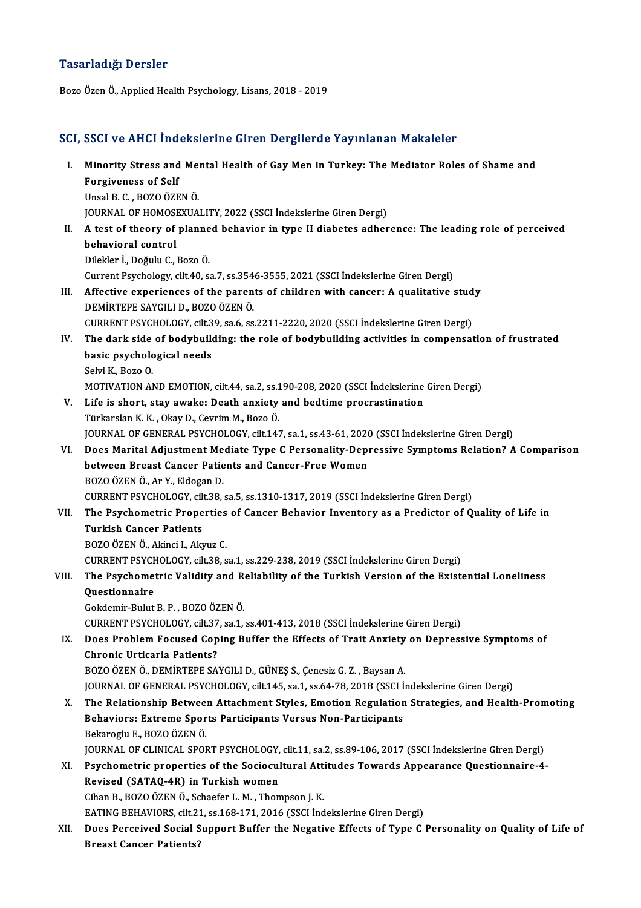### Tasarladığı Dersler

Bozo Özen Ö., Applied Health Psychology, Lisans, 2018 - 2019

## SCI, SSCI ve AHCI İndekslerine Giren Dergilerde Yayınlanan Makaleler

CI, SSCI ve AHCI İndekslerine Giren Dergilerde Yayınlanan Makaleler<br>I. Minority Stress and Mental Health of Gay Men in Turkey: The Mediator Roles of Shame and<br>Forgivenese of Self **Example 18 Allen Inc.**<br>Minority Stress and<br>Forgiveness of Self Minority Stress and Mei<br>Forgiveness of Self<br>Unsal B. C. , BOZO ÖZEN Ö.<br>JOUPNAL OF HOMOSEVILA Forgiveness of Self<br>Unsal B. C. , BOZO ÖZEN Ö.<br>JOURNAL OF HOMOSEXUALITY, 2022 (SSCI İndekslerine Giren Dergi) Unsal B. C. , BOZO ÖZEN Ö.<br>JOURNAL OF HOMOSEXUALITY, 2022 (SSCI İndekslerine Giren Dergi)<br>II. A test of theory of planned behavior in type II diabetes adherence: The leading role of perceived<br>hebavioral control **JOURNAL OF HOMOSI<br>A test of theory of<br>behavioral control**<br>Pilekler <sup>†</sup> Değulu C A test of theory of planne<br>behavioral control<br>Dilekler İ., Doğulu C., Bozo Ö.<br>Current Pevchology, silt 40, se behavioral control<br>Dilekler İ., Doğulu C., Bozo Ö.<br>Current Psychology, cilt.40, sa.7, ss.3546-3555, 2021 (SSCI İndekslerine Giren Dergi)<br>Affective experiences of the parents of children with cancery A qualitative Dilekler İ., Doğulu C., Bozo Ö.<br>Current Psychology, cilt.40, sa.7, ss.3546-3555, 2021 (SSCI İndekslerine Giren Dergi)<br>III. Affective experiences of the parents of children with cancer: A qualitative study<br>DEMIRTEPE SAYGILI Current Psychology, cilt.40, sa.7, ss.354<br>Affective experiences of the paren<br>DEMİRTEPE SAYGILI D., BOZO ÖZEN Ö.<br>CUPPENT PSYCHOLOCY, silt.29, sa.6, ss. Affective experiences of the parents of children with cancer: A qualitative stud<br>DEMİRTEPE SAYGILI D., BOZO ÖZEN Ö.<br>CURRENT PSYCHOLOGY, cilt.39, sa.6, ss.2211-2220, 2020 (SSCI İndekslerine Giren Dergi)<br>The dark side of hod IV. The dark side of bodybuilding: the role of bodybuilding activities in compensation of frustrated CURRENT PSYCHOLOGY, cilt.3<br>The dark side of bodybuild<br>basic psychological needs<br>Selvi K. Bere O Selvi K., Bozo O. basic psychological needs<br>Selvi K., Bozo O.<br>MOTIVATION AND EMOTION, cilt.44, sa.2, ss.190-208, 2020 (SSCI İndekslerine Giren Dergi)<br>Lifa is shart, stav awake: Death anviety and badtime prespectination V. Life is short, stay awake: Death anxiety and bedtime procrastination MOTIVATION AND EMOTION, cilt.44, sa.2, ss.1<br>Life is short, stay awake: Death anxiety<br>Türkarslan K. K. , Okay D., Cevrim M., Bozo Ö.<br>JOUPNAL OF CENERAL PSYCHOLOCY, silt.14. JOURNAL OF GENERAL PSYCHOLOGY, cilt.147, sa.1, ss.43-61, 2020 (SSCI İndekslerine Giren Dergi) Türkarslan K. K. , Okay D., Cevrim M., Bozo Ö.<br>JOURNAL OF GENERAL PSYCHOLOGY, cilt.147, sa.1, ss.43-61, 2020 (SSCI İndekslerine Giren Dergi)<br>VI. Does Marital Adjustment Mediate Type C Personality-Depressive Symptoms Re JOURNAL OF GENERAL PSYCHOLOGY, cilt.147, sa.1, ss.43-61, 2020<br>Does Marital Adjustment Mediate Type C Personality-Dep<br>between Breast Cancer Patients and Cancer-Free Women<br>POZO ÖZEN Ö. Ar.Y. Eldogan D Does Marital Adjustment Me<br>between Breast Cancer Patie<br>BOZO ÖZEN Ö., Ar Y., Eldogan D.<br>CUPPENT PSYCHOLOCY, silt 29 between Breast Cancer Patients and Cancer-Free Women<br>BOZO ÖZEN Ö., Ar Y., Eldogan D.<br>CURRENT PSYCHOLOGY, cilt.38, sa.5, ss.1310-1317, 2019 (SSCI İndekslerine Giren Dergi) BOZO ÖZEN Ö., Ar Y., Eldogan D.<br>CURRENT PSYCHOLOGY, cilt.38, sa.5, ss.1310-1317, 2019 (SSCI İndekslerine Giren Dergi)<br>VII. The Psychometric Properties of Cancer Behavior Inventory as a Predictor of Quality of Life in<br>T CURRENT PSYCHOLOGY, cil<br>The Psychometric Prope<br>Turkish Cancer Patients<br>POZO ÖZEN Ö. Altingi L.Alt The Psychometric Properties<br>Turkish Cancer Patients<br>BOZO ÖZEN Ö., Akinci I., Akyuz C.<br>CUPPENT PSYCHOLOCY silt 28 s Turkish Cancer Patients<br>BOZO ÖZEN Ö., Akinci I., Akyuz C.<br>CURRENT PSYCHOLOGY, cilt.38, sa.1, ss.229-238, 2019 (SSCI İndekslerine Giren Dergi)<br>The Bayshometris Volidity and Polisbility of the Turkish Version of the Evist. BOZO ÖZEN Ö., Akinci I., Akyuz C.<br>CURRENT PSYCHOLOGY, cilt.38, sa.1, ss.229-238, 2019 (SSCI İndekslerine Giren Dergi)<br>VIII. The Psychometric Validity and Reliability of the Turkish Version of the Existential Loneliness CURRENT PSYCH<br>The Psychome<br>Questionnaire<br>Cekdemir Pulut The Psychometric Validity and Re<br>Questionnaire<br>Gokdemir-Bulut B. P. , BOZO ÖZEN Ö.<br>CUPPENT PSYCHOLOCY silt 27–82.1 Questionnaire<br>Gokdemir-Bulut B. P. , BOZO ÖZEN Ö.<br>CURRENT PSYCHOLOGY, cilt.37, sa.1, ss.401-413, 2018 (SSCI İndekslerine Giren Dergi)<br>Dess Preblem Fesused Cening Buffer the Effeste of Treit Anviety en Depress Gokdemir-Bulut B. P. , BOZO ÖZEN Ö.<br>CURRENT PSYCHOLOGY, cilt.37, sa.1, ss.401-413, 2018 (SSCI İndekslerine Giren Dergi)<br>IX. Does Problem Focused Coping Buffer the Effects of Trait Anxiety on Depressive Symptoms of<br>Chro CURRENT PSYCHOLOGY, cilt.37<br>Does Problem Focused Cop<br>Chronic Urticaria Patients?<br>POZO ÖZEN Ö. DEMIPTEDE SA BOZO ÖZEN Ö., DEMİRTEPE SAYGILI D., GÜNEŞ S., Çenesiz G. Z., Baysan A. JOURNAL OF GENERAL PSYCHOLOGY, cilt.145, sa.1, ss.64-78, 2018 (SSCI İndekslerine Giren Dergi) BOZO ÖZEN Ö., DEMIRTEPE SAYGILI D., GÜNEŞ S., Çenesiz G. Z. , Baysan A.<br>JOURNAL OF GENERAL PSYCHOLOGY, cilt.145, sa.1, ss.64-78, 2018 (SSCI İndekslerine Giren Dergi)<br>X. The Relationship Between Attachment Styles, Emotion R JOURNAL OF GENERAL PSYCHOLOGY, cilt.145, sa.1, ss.64-78, 2018 (SSCI İ<br>The Relationship Between Attachment Styles, Emotion Regulation<br>Behaviors: Extreme Sports Participants Versus Non-Participants<br>Bekareglu E. BOZO ÖZEN Ö The Relationship Betwee:<br>Behaviors: Extreme Spor<br>Bekaroglu E., BOZO ÖZEN Ö.<br>JOUPMAL OF CLINICAL SPOI Behaviors: Extreme Sports Participants Versus Non-Participants<br>Bekaroglu E., BOZO ÖZEN Ö.<br>JOURNAL OF CLINICAL SPORT PSYCHOLOGY, cilt.11, sa.2, ss.89-106, 2017 (SSCI İndekslerine Giren Dergi)<br>Psychometris proporties of the Bekaroglu E., BOZO ÖZEN Ö.<br>JOURNAL OF CLINICAL SPORT PSYCHOLOGY, cilt.11, sa.2, ss.89-106, 2017 (SSCI İndekslerine Giren Dergi)<br>XI. Psychometric properties of the Sociocultural Attitudes Towards Appearance Questionnaire-4-JOURNAL OF CLINICAL SPORT PSYCHOLOGY,<br>Psychometric properties of the Sociocul<br>Revised (SATAQ-4R) in Turkish women<br>Ciban B. BOZO ÖZEN Ö. Schaefer L.M. Than CihanB.,BOZOÖZENÖ.,Schaefer L.M. ,ThompsonJ.K. EATING BEHAVIORS, cilt.21, ss.168-171, 2016 (SSCI İndekslerine Giren Dergi) Cihan B., BOZO ÖZEN Ö., Schaefer L. M. , Thompson J. K.<br>EATING BEHAVIORS, cilt.21, ss.168-171, 2016 (SSCI İndekslerine Giren Dergi)<br>XII. Does Perceived Social Support Buffer the Negative Effects of Type C Personality o EATING BEHAVIORS, cilt.2<br>Does Perceived Social S<br>Breast Cancer Patients?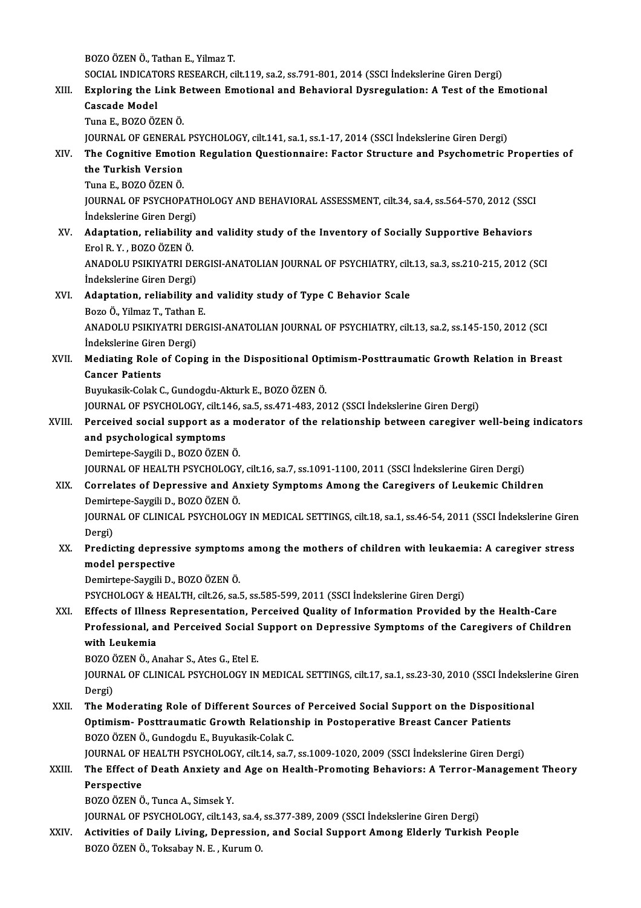BOZOÖZENÖ.,TathanE.,YilmazT.

BOZO ÖZEN Ö., Tathan E., Yilmaz T.<br>SOCIAL INDICATORS RESEARCH, cilt.119, sa.2, ss.791-801, 2014 (SSCI İndekslerine Giren Dergi)<br>Euplering the Lipk Between Emetional and Behavieral Dycrogyletian: A Test of the E

# BOZO ÖZEN Ö., Tathan E., Yilmaz T.<br>SOCIAL INDICATORS RESEARCH, cilt.119, sa.2, ss.791-801, 2014 (SSCI İndekslerine Giren Dergi)<br>XIII. Exploring the Link Between Emotional and Behavioral Dysregulation: A Test of the Emo SOCIAL INDICAT<br>Exploring the L<br>Cascade Model<br>Tune E-BOZO ÖZ Exploring the Link B<br>Cascade Model<br>Tuna E., BOZO ÖZEN Ö.<br>JOUPMAL OF CENERAL

Cascade Model<br>Tuna E., BOZO ÖZEN Ö.<br>JOURNAL OF GENERAL PSYCHOLOGY, cilt.141, sa.1, ss.1-17, 2014 (SSCI İndekslerine Giren Dergi) Tuna E., BOZO ÖZEN Ö.<br>JOURNAL OF GENERAL PSYCHOLOGY, cilt.141, sa.1, ss.1-17, 2014 (SSCI İndekslerine Giren Dergi)<br>XIV. The Cognitive Emotion Regulation Questionnaire: Factor Structure and Psychometric Properties of<br>the

# JOURNAL OF GENERAL<br>The Cognitive Emotion<br>the Turkish Version<br>Ture E-BOZO ÖZEN Ö The Cognitive Emotion<br>the Turkish Version<br>Tuna E., BOZO ÖZEN Ö.<br>JOUPMAL OF PSYCHOP

the Turkish Version<br>Tuna E., BOZO ÖZEN Ö.<br>JOURNAL OF PSYCHOPATHOLOGY AND BEHAVIORAL ASSESSMENT, cilt.34, sa.4, ss.564-570, 2012 (SSCI Tuna E., BOZO ÖZEN Ö.<br>JOURNAL OF PSYCHOPATI<br>İndekslerine Giren Dergi) JOURNAL OF PSYCHOPATHOLOGY AND BEHAVIORAL ASSESSMENT, cilt.34, sa.4, ss.564-570, 2012 (SSCI<br>Indekslerine Giren Dergi)<br>XV. Adaptation, reliability and validity study of the Inventory of Socially Supportive Behaviors<br>Frel B

İndekslerine Giren Dergi)<br>XV. Adaptation, reliability and validity study of the Inventory of Socially Supportive Behaviors<br>Erol R.Y., BOZO ÖZEN Ö. Adaptation, reliability and validity study of the Inventory of Socially Supportive Behaviors<br>Erol R. Y. , BOZO ÖZEN Ö.<br>ANADOLU PSIKIYATRI DERGISI-ANATOLIAN JOURNAL OF PSYCHIATRY, cilt.13, sa.3, ss.210-215, 2012 (SCI<br>İndeka

Erol R. Y. , BOZO ÖZEN Ö.<br>ANADOLU PSIKIYATRI DE<br>İndekslerine Giren Dergi) ANADOLU PSIKIYATRI DERGISI-ANATOLIAN JOURNAL OF PSYCHIATRY, cilt<br>indekslerine Giren Dergi)<br>XVI. Adaptation, reliability and validity study of Type C Behavior Scale<br>Pege Ö Vilmar T. Tathan E

İndekslerine Giren Dergi)<br>Adaptation, reliability an<br>Bozo Ö., Yilmaz T., Tathan E.<br>ANADOLU BSIKIYATRI DERG ANADOLU PSIKIYATRI DERGISI-ANATOLIAN JOURNAL OF PSYCHIATRY, cilt.13, sa.2, ss.145-150, 2012 (SCI Indekslerine Giren Dergi) Bozo Ö., Yilmaz T., Tathan E.

# ANADOLU PSIKIYATRI DERGISI-ANATOLIAN JOURNAL OF PSYCHIATRY, cilt.13, sa.2, ss.145-150, 2012 (SCI<br>Indekslerine Giren Dergi)<br>XVII. Mediating Role of Coping in the Dispositional Optimism-Posttraumatic Growth Relation in Breas Indekslerine Girer<br>Mediating Role<br>Cancer Patients<br><sup>Pump</sup>kesik Colak C Mediating Role of Coping in the Dispositional Opt<br>Cancer Patients<br>Buyukasik-Colak C., Gundogdu-Akturk E., BOZO ÖZEN Ö.<br>JOUPMAL OF PSYCHOLOCY sit 146 sa 5 ss 471 482 20 Cancer Patients<br>Buyukasik-Colak C., Gundogdu-Akturk E., BOZO ÖZEN Ö.<br>JOURNAL OF PSYCHOLOGY, cilt.146, sa.5, ss.471-483, 2012 (SSCI İndekslerine Giren Dergi)<br>Perseived sosial sunnest es a moderator of the relationship betwe

## Buyukasik-Colak C., Gundogdu-Akturk E., BOZO ÖZEN Ö.<br>JOURNAL OF PSYCHOLOGY, cilt.146, sa.5, ss.471-483, 2012 (SSCI İndekslerine Giren Dergi)<br>XVIII. Perceived social support as a moderator of the relationship between caregi JOURNAL OF PSYCHOLOGY, cilt.1<br>Perceived social support as a<br>and psychological symptoms<br>Domirtone Savrili D, POZO ÖZEN Perceived social support as a m<br>and psychological symptoms<br>Demirtepe-Saygili D., BOZO ÖZEN Ö.<br>JOUPMAL OF HEALTH PSYCHOLOCY and psychological symptoms<br>Demirtepe-Saygili D., BOZO ÖZEN Ö.<br>JOURNAL OF HEALTH PSYCHOLOGY, cilt.16, sa.7, ss.1091-1100, 2011 (SSCI İndekslerine Giren Dergi)

## Demirtepe-Saygili D., BOZO ÖZEN Ö.<br>JOURNAL OF HEALTH PSYCHOLOGY, cilt.16, sa.7, ss.1091-1100, 2011 (SSCI İndekslerine Giren Dergi)<br>XIX. Correlates of Depressive and Anxiety Symptoms Among the Caregivers of Leukemic Chi JOURNAL OF HEALTH PSYCHOLOGY<br>Correlates of Depressive and Al<br>Demirtepe-Saygili D., BOZO ÖZEN Ö.<br>JOUPNAL OF CLINICAL PSYCHOLOG Demirtepe-Saygili D., BOZO ÖZEN Ö.

JOURNAL OF CLINICAL PSYCHOLOGY IN MEDICAL SETTINGS, cilt.18, sa.1, ss.46-54, 2011 (SSCI İndekslerine Giren<br>Dergi) JOURNAL OF CLINICAL PSYCHOLOGY IN MEDICAL SETTINGS, cilt.18, sa.1, ss.46-54, 2011 (SSCI İndekslerine Girer<br>Dergi)<br>XX. Predicting depressive symptoms among the mothers of children with leukaemia: A caregiver stress<br>model pe

# Dergi)<br>Predicting depress<br>model perspective<br>Pemirtane Savgili D Predicting depressive symptom:<br>model perspective<br>Demirtepe-Saygili D., BOZO ÖZEN Ö.<br>PSYCHOLOCY & HEALTH silt 26 sel model perspective<br>Demirtepe-Saygili D., BOZO ÖZEN Ö.<br>PSYCHOLOGY & HEALTH, cilt.26, sa.5, ss.585-599, 2011 (SSCI İndekslerine Giren Dergi)

Demirtepe-Saygili D., BOZO ÖZEN Ö.<br>PSYCHOLOGY & HEALTH, cilt.26, sa.5, ss.585-599, 2011 (SSCI İndekslerine Giren Dergi)<br>XXI. Effects of Illness Representation, Perceived Quality of Information Provided by the Health-Care PSYCHOLOGY & HEALTH, cilt.26, sa.5, ss.585-599, 2011 (SSCI İndekslerine Giren Dergi)<br>Effects of Illness Representation, Perceived Quality of Information Provided by the Health-Care<br>Professional, and Perceived Social Suppor Effects of Illnes<br>Professional, a<br>with Leukemia<br>POZO ÖZEN Ö. A Professional, and Perceived Social !<br>with Leukemia<br>BOZO ÖZEN Ö., Anahar S., Ates G., Etel E.<br>JOUPMAL OF CLINICAL PSYCHOLOCY IN

BOZO ÖZEN Ö., Anahar S., Ates G., Etel E.

with Leukemia<br>BOZO ÖZEN Ö., Anahar S., Ates G., Etel E.<br>JOURNAL OF CLINICAL PSYCHOLOGY IN MEDICAL SETTINGS, cilt.17, sa.1, ss.23-30, 2010 (SSCI İndekslerine Giren<br>Dergi) JOURNAL OF CLINICAL PSYCHOLOGY IN MEDICAL SETTINGS, cilt.17, sa.1, ss.23-30, 2010 (SSCI indeksle:<br>Dergi)<br>XXII. The Moderating Role of Different Sources of Perceived Social Support on the Dispositional<br>Ontimiam Bostroumatic

Dergi)<br>The Moderating Role of Different Sources of Perceived Social Support on the Dispositi<br>Optimism- Posttraumatic Growth Relationship in Postoperative Breast Cancer Patients<br>ROZO ÖZEN Ö. Cundordu E. Burukseik Colak C The Moderating Role of Different Sources<br>Optimism- Posttraumatic Growth Relations<br>BOZO ÖZEN Ö., Gundogdu E., Buyukasik-Colak C.<br>JOUPMAL OF HEALTH PSYCHOLOCY silt 14 sp.7. Optimism- Posttraumatic Growth Relationship in Postoperative Breast Cancer Patients<br>BOZO ÖZEN Ö., Gundogdu E., Buyukasik-Colak C.<br>JOURNAL OF HEALTH PSYCHOLOGY, cilt.14, sa.7, ss.1009-1020, 2009 (SSCI İndekslerine Giren Der

## BOZO ÖZEN Ö., Gundogdu E., Buyukasik-Colak C.<br>JOURNAL OF HEALTH PSYCHOLOGY, cilt.14, sa.7, ss.1009-1020, 2009 (SSCI İndekslerine Giren Dergi)<br>XXIII. The Effect of Death Anxiety and Age on Health-Promoting Behaviors: A **JOURNAL OF |<br>The Effect o<br>Perspective<br>POZO ÖZEN Ö** The Effect of Death Anxiety an<br>Perspective<br>BOZO ÖZEN Ö., Tunca A., Simsek Y.<br>JOUPNAL OF PSYCHOLOCY, silt 143 Perspective<br>BOZO ÖZEN Ö., Tunca A., Simsek Y.<br>JOURNAL OF PSYCHOLOGY, cilt.143, sa.4, ss.377-389, 2009 (SSCI İndekslerine Giren Dergi)

BOZO ÖZEN Ö., Tunca A., Simsek Y.<br>JOURNAL OF PSYCHOLOGY, cilt.143, sa.4, ss.377-389, 2009 (SSCI İndekslerine Giren Dergi)<br>XXIV. Activities of Daily Living, Depression, and Social Support Among Elderly Turkish People<br>POZO Ö JOURNAL OF PSYCHOLOGY, cilt.143, sa.4,<br><mark>Activities of Daily Living, Depressio</mark><br>BOZO ÖZEN Ö., Toksabay N. E. , Kurum O.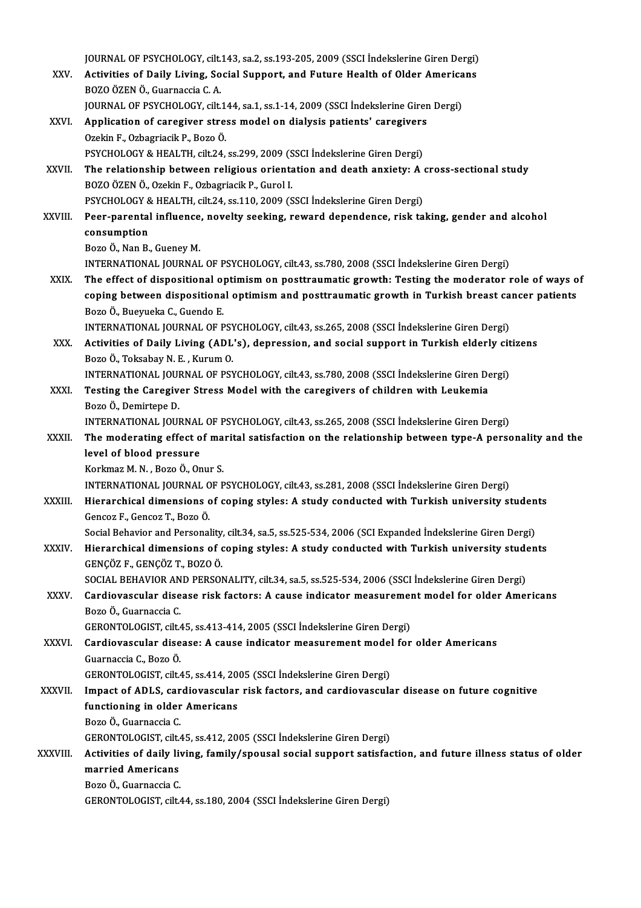JOURNAL OF PSYCHOLOGY, cilt.143, sa.2, ss.193-205, 2009 (SSCI İndekslerine Giren Dergi)<br>Activities of Daily Living, Social Sunnant, and Eutune Health of Older Americane JOURNAL OF PSYCHOLOGY, cilt.143, sa.2, ss.193-205, 2009 (SSCI İndekslerine Giren Dergi)<br>XXV. Activities of Daily Living, Social Support, and Future Health of Older Americans BOZOÖZENÖ.,GuarnacciaC.A. Activities of Daily Living, Social Support, and Future Health of Older Americans BOZO ÖZEN Ö., Guarnaccia C. A.<br>JOURNAL OF PSYCHOLOGY, cilt.144, sa.1, ss.1-14, 2009 (SSCI İndekslerine Girer<br>XXVI. Application of caregiver stress model on dialysis patients' caregivers<br>Orekin E. Orbagniasik B. Bozo Ö. JOURNAL OF PSYCHOLOGY, cilt.144, sa.1, ss.1-14, 2009 (SSCI Indekslerine Giren Dergi)<br>Application of caregiver stress model on dialysis patients' caregivers<br>Ozekin F., Ozbagriacik P., Bozo Ö. Application of caregiver stress model on dialysis patients' caregivers<br>Ozekin F., Ozbagriacik P., Bozo Ö.<br>PSYCHOLOGY & HEALTH, cilt.24, ss.299, 2009 (SSCI İndekslerine Giren Dergi)<br>The relationship between religious exient XXVII. The relationship between religious orientation and death anxiety: A cross-sectional study<br>BOZO ÖZEN Ö., Ozekin F., Ozbagriacik P., Gurol I. PSYCHOLOGY & HEALTH, cilt.24, ss.299, 2009 (SSCI Indekslerine Giren Dergi) The relationship between religious orientation and death anxiety: A<br>BOZO ÖZEN Ö., Ozekin F., Ozbagriacik P., Gurol I.<br>PSYCHOLOGY & HEALTH, cilt.24, ss.110, 2009 (SSCI İndekslerine Giren Dergi)<br>Peer parental influence, nove BOZO ÖZEN Ö., Ozekin F., Ozbagriacik P., Gurol I.<br>PSYCHOLOGY & HEALTH, cilt.24, ss.110, 2009 (SSCI İndekslerine Giren Dergi)<br>XXVIII. Peer-parental influence, novelty seeking, reward dependence, risk taking, gender and alco PSYCHOLOGY 8<br>Peer-parental<br>consumption<br>Pere Ö. Nan P. Peer-parental influence<br>consumption<br>Bozo Ö., Nan B., Gueney M.<br>INTERNATIONAL IOURNAL consumption<br>Bozo Ö., Nan B., Gueney M.<br>INTERNATIONAL JOURNAL OF PSYCHOLOGY, cilt.43, ss.780, 2008 (SSCI İndekslerine Giren Dergi) Bozo Ö., Nan B., Gueney M.<br>INTERNATIONAL JOURNAL OF PSYCHOLOGY, cilt.43, ss.780, 2008 (SSCI Indekslerine Giren Dergi)<br>XXIX. The effect of dispositional optimism on posttraumatic growth: Testing the moderator role of ways o INTERNATIONAL JOURNAL OF PSYCHOLOGY, cilt.43, ss.780, 2008 (SSCI İndekslerine Giren Dergi)<br>The effect of dispositional optimism on posttraumatic growth: Testing the moderator role of ways o<br>coping between dispositional opt The effect of dispositional of<br>coping between dispositiona<br>Bozo Ö., Bueyueka C., Guendo E.<br>INTERNATIONAL JOURNAL OF B coping between dispositional optimism and posttraumatic growth in Turkish breast cancer patients<br>Bozo Ö., Bueyueka C., Guendo E.<br>INTERNATIONAL JOURNAL OF PSYCHOLOGY, cilt.43, ss.265, 2008 (SSCI İndekslerine Giren Dergi) Bozo Ö., Bueyueka C., Guendo E.<br>INTERNATIONAL JOURNAL OF PSYCHOLOGY, cilt.43, ss.265, 2008 (SSCI İndekslerine Giren Dergi)<br>XXX. Activities of Daily Living (ADL's), depression, and social support in Turkish elderly citizens INTERNATIONAL JOURNAL OF PSY<br>Activities of Daily Living (ADL<br>Bozo Ö., Toksabay N. E. , Kurum O.<br>INTERNATIONAL JOURNAL OF PSY Activities of Daily Living (ADL's), depression, and social support in Turkish elderly cit<br>Bozo Ö., Toksabay N. E. , Kurum O.<br>INTERNATIONAL JOURNAL OF PSYCHOLOGY, cilt.43, ss.780, 2008 (SSCI İndekslerine Giren Dergi)<br>Testin Bozo Ö., Toksabay N. E. , Kurum O.<br>INTERNATIONAL JOURNAL OF PSYCHOLOGY, cilt.43, ss.780, 2008 (SSCI İndekslerine Giren De<br>XXXI. Testing the Caregiver Stress Model with the caregivers of children with Leukemia<br>Bozo Ö., Demi INTERNATIONAL JOURNAL OF PSYCHOLOGY, cilt.43, ss.780, 2008 (SSCI İndekslerine Giren Dergi) Testing the Caregiver Stress Model with the caregivers of children with Leukemia<br>Bozo Ö., Demirtepe D.<br>INTERNATIONAL JOURNAL OF PSYCHOLOGY, cilt.43, ss.265, 2008 (SSCI İndekslerine Giren Dergi)<br>The moderating effect of mar Bozo Ö., Demirtepe D.<br>INTERNATIONAL JOURNAL OF PSYCHOLOGY, cilt.43, ss.265, 2008 (SSCI İndekslerine Giren Dergi)<br>XXXII. The moderating effect of marital satisfaction on the relationship between type-A personality and t INTERNATIONAL JOURNAL<br>The moderating effect of<br>level of blood pressure The moderating effect of ma<br>level of blood pressure<br>Korkmaz M.N., Bozo Ö., Onur S.<br>INTERNATIONAL JOURNAL OF R level of blood pressure<br>Korkmaz M. N. , Bozo Ö., Onur S.<br>INTERNATIONAL JOURNAL OF PSYCHOLOGY, cilt.43, ss.281, 2008 (SSCI İndekslerine Giren Dergi) Korkmaz M. N. , Bozo Ö., Onur S.<br>INTERNATIONAL JOURNAL OF PSYCHOLOGY, cilt.43, ss.281, 2008 (SSCI İndekslerine Giren Dergi)<br>XXXIII. Hierarchical dimensions of coping styles: A study conducted with Turkish university st INTERNATIONAL JOURNAL O<br>Hierarchical dimensions c<br>Gencoz F., Gencoz T., Bozo Ö.<br>Social Behavier and Bersonal Hierarchical dimensions of coping styles: A study conducted with Turkish university studen<br>Gencoz F., Gencoz T., Bozo Ö.<br>Social Behavior and Personality, cilt.34, sa.5, ss.525-534, 2006 (SCI Expanded İndekslerine Giren Der Gencoz F., Gencoz T., Bozo Ö.<br>Social Behavior and Personality, cilt.34, sa.5, ss.525-534, 2006 (SCI Expanded Indekslerine Giren Dergi)<br>XXXIV. Hierarchical dimensions of coping styles: A study conducted with Turkish uni Social Behavior and Personality<br>Hierarchical dimensions of d<br>GENÇÖZ F., GENÇÖZ T., BOZO Ö.<br>SOCIAL PEHAVIOR AND PERSON Hierarchical dimensions of coping styles: A study conducted with Turkish university stude<br>GENÇÖZ F., GENÇÖZ T., BOZO Ö.<br>SOCIAL BEHAVIOR AND PERSONALITY, cilt.34, sa.5, ss.525-534, 2006 (SSCI İndekslerine Giren Dergi)<br>Cardi GENÇÖZ F., GENÇÖZ T., BOZO Ö.<br>SOCIAL BEHAVIOR AND PERSONALITY, cilt.34, sa.5, ss.525-534, 2006 (SSCI İndekslerine Giren Dergi)<br>XXXV. Cardiovascular disease risk factors: A cause indicator measurement model for older Ame SOCIAL BEHAVIOR AND PERSONALITY, cilt.34, sa.5, ss.525-534, 2006 (SSCI Indekslerine Giren Dergi)<br>Cardiovascular disease risk factors: A cause indicator measurement model for older Ame<br>Bozo Ö., Guarnaccia C.<br>GERONTOLOGIST, Cardiovascular disease risk factors: A cause indicator measuremen<br>Bozo Ö., Guarnaccia C.<br>GERONTOLOGIST, cilt.45, ss.413-414, 2005 (SSCI İndekslerine Giren Dergi)<br>Cardiovascular diseaseu A cause indicator measurement model Bozo Ö., Guarnaccia C.<br>GERONTOLOGIST, cilt.45, ss.413-414, 2005 (SSCI İndekslerine Giren Dergi)<br>XXXVI. Cardiovascular disease: A cause indicator measurement model for older Americans<br>Cuarnaccia C. Bozo Ö GERONTOLOGIST, cilt.4<br>Cardiovascular dise<br>Guarnaccia C., Bozo Ö.<br>CERONTOLOGIST, cilt.4 Cardiovascular disease: A cause indicator measurement model<br>Guarnaccia C., Bozo Ö.<br>GERONTOLOGIST, cilt.45, ss.414, 2005 (SSCI İndekslerine Giren Dergi)<br>Impact of ADLS, sardiovascular risk fastars, and sardiovascula Guarnaccia C., Bozo Ö.<br>GERONTOLOGIST, cilt.45, ss.414, 2005 (SSCI İndekslerine Giren Dergi)<br>XXXVII. Impact of ADLS, cardiovascular risk factors, and cardiovascular disease on future cognitive GERONTOLOGIST, cilt.45, ss.414, 20<br>Impact of ADLS, cardiovascular<br>functioning in older Americans<br>Pore Ö Cuernessie C Impact of ADLS, car<br>functioning in older<br>Bozo Ö., Guarnaccia C.<br>CERONTOLOCIST silt ( functioning in older Americans<br>Bozo Ö., Guarnaccia C.<br>GERONTOLOGIST, cilt.45, ss.412, 2005 (SSCI İndekslerine Giren Dergi)<br>Activities of daily living, family (spousel social support satisfas Bozo Ö., Guarnaccia C.<br>GERONTOLOGIST, cilt.45, ss.412, 2005 (SSCI İndekslerine Giren Dergi)<br>XXXVIII. Activities of daily living, family/spousal social support satisfaction, and future illness status of older<br>married Am GERONTOLOGIST, cilt.<br>Activities of daily liv<br>married Americans<br>Pore Ö. Cuarnassia C BozoÖ.,GuarnacciaC. GERONTOLOGIST, cilt.44, ss.180, 2004 (SSCI İndekslerine Giren Dergi)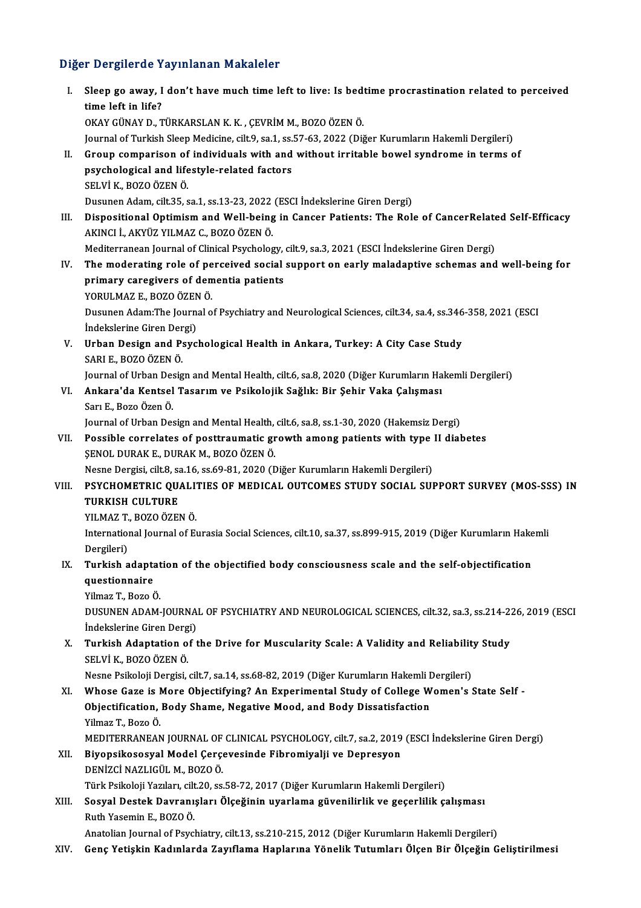# Diğer Dergilerde Yayınlanan Makaleler<br>Diğer Dergilerde Yayınlanan Makaleler

| Diğer Dergilerde Yayınlanan Makaleler |                                                                                                                                                                                       |
|---------------------------------------|---------------------------------------------------------------------------------------------------------------------------------------------------------------------------------------|
| L.                                    | Sleep go away, I don't have much time left to live: Is bedtime procrastination related to perceived<br>time left in life?<br>OKAY GÜNAY D., TÜRKARSLAN K. K., ÇEVRİM M., BOZO ÖZEN Ö. |
|                                       | Journal of Turkish Sleep Medicine, cilt.9, sa.1, ss.57-63, 2022 (Diğer Kurumların Hakemli Dergileri)                                                                                  |
| П.                                    | Group comparison of individuals with and without irritable bowel syndrome in terms of                                                                                                 |
|                                       | psychological and lifestyle-related factors                                                                                                                                           |
|                                       | SELVİ K., BOZO ÖZEN Ö.                                                                                                                                                                |
|                                       | Dusunen Adam, cilt.35, sa.1, ss.13-23, 2022 (ESCI Indekslerine Giren Dergi)                                                                                                           |
| III.                                  | Dispositional Optimism and Well-being in Cancer Patients: The Role of CancerRelated Self-Efficacy                                                                                     |
|                                       | AKINCI İ., AKYÜZ YILMAZ C., BOZO ÖZEN Ö.                                                                                                                                              |
|                                       | Mediterranean Journal of Clinical Psychology, cilt.9, sa.3, 2021 (ESCI İndekslerine Giren Dergi)                                                                                      |
| IV.                                   | The moderating role of perceived social support on early maladaptive schemas and well-being for                                                                                       |
|                                       | primary caregivers of dementia patients                                                                                                                                               |
|                                       | YORULMAZ E, BOZO ÖZEN Ö.                                                                                                                                                              |
|                                       | Dusunen Adam: The Journal of Psychiatry and Neurological Sciences, cilt.34, sa.4, ss.346-358, 2021 (ESCI<br>İndekslerine Giren Dergi)                                                 |
| V.                                    | Urban Design and Psychological Health in Ankara, Turkey: A City Case Study                                                                                                            |
|                                       | SARI E , BOZO ÖZEN Ö                                                                                                                                                                  |
|                                       | Journal of Urban Design and Mental Health, cilt.6, sa.8, 2020 (Diğer Kurumların Hakemli Dergileri)                                                                                    |
| VI.                                   | Ankara'da Kentsel Tasarım ve Psikolojik Sağlık: Bir Şehir Vaka Çalışması                                                                                                              |
|                                       | Sarı E., Bozo Özen Ö.                                                                                                                                                                 |
|                                       | Journal of Urban Design and Mental Health, cilt.6, sa.8, ss.1-30, 2020 (Hakemsiz Dergi)                                                                                               |
| VII.                                  | Possible correlates of posttraumatic growth among patients with type II diabetes                                                                                                      |
|                                       | ŞENOL DURAK E., DURAK M., BOZO ÖZEN Ö.                                                                                                                                                |
| VIII.                                 | Nesne Dergisi, cilt.8, sa.16, ss.69-81, 2020 (Diğer Kurumların Hakemli Dergileri)<br>PSYCHOMETRIC QUALITIES OF MEDICAL OUTCOMES STUDY SOCIAL SUPPORT SURVEY (MOS-SSS) IN              |
|                                       | <b>TURKISH CULTURE</b>                                                                                                                                                                |
|                                       | YILMAZ T, BOZO ÖZEN Ö.                                                                                                                                                                |
|                                       | International Journal of Eurasia Social Sciences, cilt.10, sa.37, ss.899-915, 2019 (Diğer Kurumların Hakemli                                                                          |
|                                       | Dergileri)                                                                                                                                                                            |
| IX.                                   | Turkish adaptation of the objectified body consciousness scale and the self-objectification                                                                                           |
|                                       | questionnaire                                                                                                                                                                         |
|                                       | Yilmaz T., Bozo Ö.                                                                                                                                                                    |
|                                       | DUSUNEN ADAM-JOURNAL OF PSYCHIATRY AND NEUROLOGICAL SCIENCES, cilt.32, sa.3, ss.214-226, 2019 (ESCI                                                                                   |
|                                       | İndekslerine Giren Dergi)                                                                                                                                                             |
| Χ.                                    | Turkish Adaptation of the Drive for Muscularity Scale: A Validity and Reliability Study                                                                                               |
|                                       | SELVİ K., BOZO ÖZEN Ö.                                                                                                                                                                |
|                                       | Nesne Psikoloji Dergisi, cilt.7, sa.14, ss.68-82, 2019 (Diğer Kurumların Hakemli Dergileri)<br>Whose Gaze is More Objectifying? An Experimental Study of College Women's State Self - |
| XI.                                   | Objectification, Body Shame, Negative Mood, and Body Dissatisfaction                                                                                                                  |
|                                       | Yilmaz T, Bozo Ö.                                                                                                                                                                     |
|                                       | MEDITERRANEAN JOURNAL OF CLINICAL PSYCHOLOGY, cilt.7, sa.2, 2019 (ESCI İndekslerine Giren Dergi)                                                                                      |
| XII.                                  | Biyopsikososyal Model Çerçevesinde Fibromiyalji ve Depresyon                                                                                                                          |
|                                       | DENİZCİ NAZLIGÜL M., BOZO Ö.                                                                                                                                                          |
|                                       | Türk Psikoloji Yazıları, cilt.20, ss.58-72, 2017 (Diğer Kurumların Hakemli Dergileri)                                                                                                 |
| XIII.                                 | Sosyal Destek Davranışları Ölçeğinin uyarlama güvenilirlik ve geçerlilik çalışması                                                                                                    |
|                                       | Ruth Yasemin E, BOZO Ö.                                                                                                                                                               |
|                                       | Anatolian Journal of Psychiatry, cilt.13, ss.210-215, 2012 (Diğer Kurumların Hakemli Dergileri)                                                                                       |
| XIV.                                  | Genç Yetişkin Kadınlarda Zayıflama Haplarına Yönelik Tutumları Ölçen Bir Ölçeğin Geliştirilmesi                                                                                       |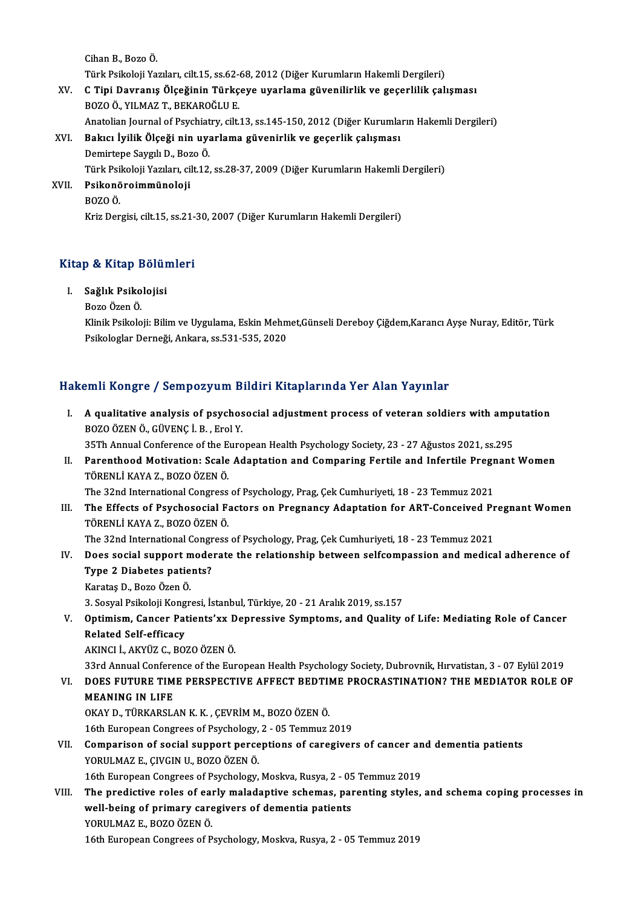Cihan B., Bozo Ö. Cihan B., Bozo Ö.<br>Türk Psikoloji Yazıları, cilt.15, ss.62-68, 2012 (Diğer Kurumların Hakemli Dergileri)<br>C.Tini Devrenis Ölseğinin Türkseye uyarlama güyenilirlik ve gesenlilik salı XV. C Tipi Davranış Ölçeğinin Türkçeye uyarlama güvenilirlik ve geçerlilik çalışması Türk Psikoloji Yazıları, cilt.15, ss.62-<br>C Tipi Davranış Ölçeğinin Türkç<br>BOZO Ö., YILMAZ T., BEKAROĞLU E.<br>Anatalian Jaurnal of Bayebiatry, silt. Anatolian Journal of Psychiatry, cilt.13, ss.145-150, 2012 (Diğer Kurumların Hakemli Dergileri) XVI. Bakıcı İyilik Ölçeği nin uyarlama güvenirlik ve geçerlik çalışması Anatolian Journal of Psychiat<br><mark>Bakıcı İyilik Ölçeği nin uy</mark>a<br>Demirtepe Saygılı D., Bozo Ö.<br>Türk Beikoloji Yazıları çilt 12

Bakıcı İyilik Ölçeği nin uyarlama güvenirlik ve geçerlik çalışması<br>Demirtepe Saygılı D., Bozo Ö.<br>Türk Psikoloji Yazıları, cilt.12, ss.28-37, 2009 (Diğer Kurumların Hakemli Dergileri)<br>Psikonöroimmünaleji Demirtepe Saygılı D., Boz<br>Türk Psikoloji Yazıları, ci<br>XVII. Psikonöroimmünoloji<br>POZO Ö Türk Psi<br><mark>Psikonö</mark><br>BOZO Ö.<br>Kriz Der

Psikonöroimmünoloji<br>BOZO Ö.<br>Kriz Dergisi, cilt.15, ss.21-30, 2007 (Diğer Kurumların Hakemli Dergileri)

# kriz bergisi, ciit.15, ss.21-<br>Kitap & Kitap Bölümleri itap & Kitap Bölür<br>I. Sağlık Psikolojisi<br>Bore Ösen Ö

# I. Sağlık Psikolojisi<br>Bozo Özen Ö.

S<mark>ağlık Psikolojisi</mark><br>Bozo Özen Ö.<br>Klinik Psikoloji: Bilim ve Uygulama, Eskin Mehmet,Günseli Dereboy Çiğdem,Karancı Ayşe Nuray, Editör, Türk<br>Psikologlar Derneği, Ankana, 95 521, 525, 2020. Bozo Özen Ö.<br>Klinik Psikoloji: Bilim ve Uygulama, Eskin Mehm<br>Psikologlar Derneği, Ankara, ss.531-535, 2020

# Psikologlar Derneği, Ankara, ss.531-535, 2020<br>Hakemli Kongre / Sempozyum Bildiri Kitaplarında Yer Alan Yayınlar

akemli Kongre / Sempozyum Bildiri Kitaplarında Yer Alan Yayınlar<br>I. A qualitative analysis of psychosocial adjustment process of veteran soldiers with amputation<br>POZO ÖZEN Ö CÜVENC İ. B. Frel Y BOZOÖZENÖ., GÜVENÇİ.B., Erol Y.<br>BOZOÖZEN Ö., GÜVENÇİ.B., Erol Y. A qualitative analysis of psychosocial adjustment process of veteran soldiers with ampi<br>BOZO ÖZEN Ö., GÜVENÇ İ. B. , Erol Y.<br>35Th Annual Conference of the European Health Psychology Society, 23 - 27 Ağustos 2021, ss.295<br>Pa

BOZO ÖZEN Ö., GÜVENÇ İ. B. , Erol Y.<br>35Th Annual Conference of the European Health Psychology Society, 23 - 27 Ağustos 2021, ss.295<br>II. Parenthood Motivation: Scale Adaptation and Comparing Fertile and Infertile Pregna 35Th Annual Conference of the E<br>Parenthood Motivation: Scale<br>TÖRENLİ KAYA Z., BOZO ÖZEN Ö.<br>The <sup>22nd</sup> International Congress Parenthood Motivation: Scale Adaptation and Comparing Fertile and Infertile Pregr<br>TÖRENLİ KAYA Z., BOZO ÖZEN Ö.<br>The 32nd International Congress of Psychology, Prag, Çek Cumhuriyeti, 18 - 23 Temmuz 2021<br>The Effects of Psych

TÖRENLİ KAYA Z., BOZO ÖZEN Ö.<br>II. The 32nd International Congress of Psychology, Prag, Çek Cumhuriyeti, 18 - 23 Temmuz 2021<br>III. The Effects of Psychosocial Factors on Pregnancy Adaptation for ART-Conceived Pregnant Women<br> The 32nd International Congress of Psychology, Prag, Çek Cumhuriyeti, 18 - 23 Temmuz 2021<br>The Effects of Psychosocial Factors on Pregnancy Adaptation for ART-Conceived Pi<br>TÖRENLİ KAYA Z., BOZO ÖZEN Ö.<br>The 32nd Internationa The Effects of Psychosocial Factors on Pregnancy Adaptation for ART-Conceived Pr<br>TÖRENLİ KAYA Z., BOZO ÖZEN Ö.<br>The 32nd International Congress of Psychology, Prag, Çek Cumhuriyeti, 18 - 23 Temmuz 2021<br>Pess sosial sunnent m

## TÖRENLİ KAYA Z., BOZO ÖZEN Ö.<br>The 32nd International Congress of Psychology, Prag, Çek Cumhuriyeti, 18 - 23 Temmuz 2021<br>IV. Does social support moderate the relationship between selfcompassion and medical adherence of<br> The 32nd International Congr<br>Does social support mode<br>Type 2 Diabetes patients?<br>Kanatas D. Bage Özen Ö Does social support m<br>Type 2 Diabetes patie<br>Karataş D., Bozo Özen Ö.<br><sup>2</sup> Sosval Psikoloji Kongr 3. Type 2 Diabetes patients?<br>19. Karataş D., Bozo Özen Ö.<br>3. Sosyal Psikoloji Kongresi, İstanbul, Türkiye, 20 - 21 Aralık 2019, ss.157

# Karataş D., Bozo Özen Ö.<br>3. Sosyal Psikoloji Kongresi, İstanbul, Türkiye, 20 - 21 Aralık 2019, ss.157<br>V. Optimism, Cancer Patients'xx Depressive Symptoms, and Quality of Life: Mediating Role of Cancer<br>Related Self effi **3. Sosyal Psikoloji Kong<br>Optimism, Cancer Pat<br>Related Self-efficacy<br>AKINCLL AKYÜZ C-PO** Optimism, Cancer Patients'xx D<br>Related Self-efficacy<br>AKINCI İ., AKYÜZ C., BOZO ÖZEN Ö.<br><sup>22rd</sup> Annual Conference of the Eur Related Self-efficacy<br>AKINCI İ., AKYÜZ C., BOZO ÖZEN Ö.<br>33rd Annual Conference of the European Health Psychology Society, Dubrovnik, Hırvatistan, 3 - 07 Eylül 2019<br>DOES EUTURE TIME RERSRECTIVE AFEECT REDTIME RROCRASTINATIO

# AKINCI İ., AKYÜZ C., BOZO ÖZEN Ö.<br>33rd Annual Conference of the European Health Psychology Society, Dubrovnik, Hırvatistan, 3 - 07 Eylül 2019<br>VI. DOES FUTURE TIME PERSPECTIVE AFFECT BEDTIME PROCRASTINATION? THE MEDIATO 33rd Annual Confere<br>DOES FUTURE TIM<br>MEANING IN LIFE<br>OVAY D. TÜRKARSI

OKAY D., TÜRKARSLANK.K., ÇEVRİMM., BOZOÖZENÖ.

16th European Congrees of Psychology, 2 - 05 Temmuz 2019

OKAY D., TÜRKARSLAN K. K. , ÇEVRİM M., BOZO ÖZEN Ö.<br>16th European Congrees of Psychology, 2 - 05 Temmuz 2019<br>VII. Comparison of social support perceptions of caregivers of cancer and dementia patients<br>VOBIH MAZ E. CWCI YORULMAZ E., ÇIVGIN U., BOZO ÖZEN Ö.<br>16th European Congrees of Psychology, Moskva, Rusya, 2 - 05 Temmuz 2019 Comparison of social support perceptions of caregivers of cancer an<br>YORULMAZ E., ÇIVGIN U., BOZO ÖZEN Ö.<br>16th European Congrees of Psychology, Moskva, Rusya, 2 - 05 Temmuz 2019<br>The predictive roles of early moledantive seb

VIII. The predictive roles of early maladaptive schemas, parenting styles, and schema coping processes in 16th European Congrees of Psychology, Moskva, Rusya, 2 - 05<br>The predictive roles of early maladaptive schemas, par<br>well-being of primary caregivers of dementia patients<br>YOBUJ MAZ E. BOZO ÖZEN Ö The predictive roles of ear<br>well-being of primary care<br>YORULMAZ E., BOZO ÖZEN Ö.<br>16th European Consrees of B

YORULMAZ E., BOZO ÖZEN Ö.<br>16th European Congrees of Psychology, Moskva, Rusya, 2 - 05 Temmuz 2019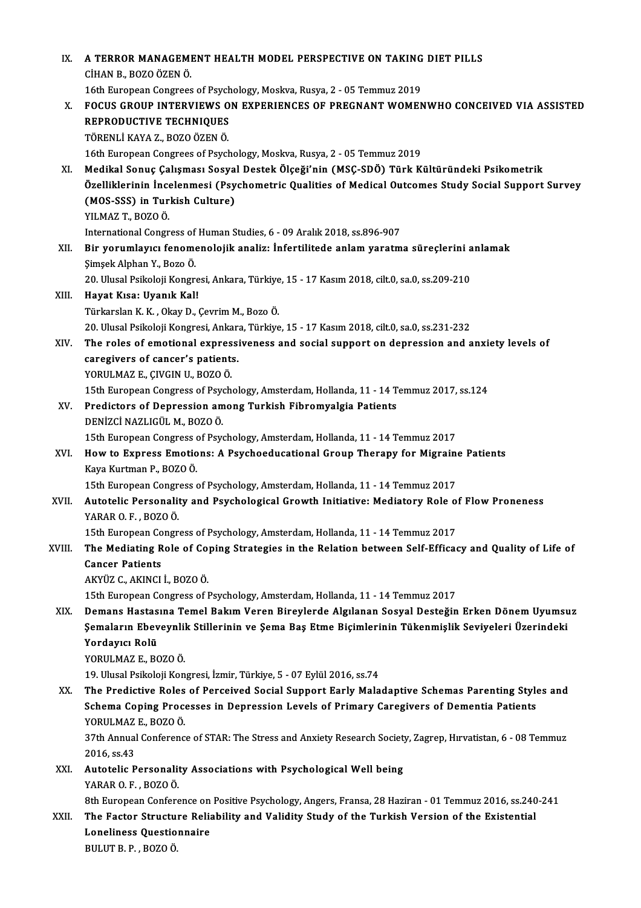| IX.    | A TERROR MANAGEMENT HEALTH MODEL PERSPECTIVE ON TAKING DIET PILLS                                              |
|--------|----------------------------------------------------------------------------------------------------------------|
|        | CİHAN B., BOZO ÖZEN Ö.                                                                                         |
|        | 16th European Congrees of Psychology, Moskva, Rusya, 2 - 05 Temmuz 2019                                        |
| Х.     | FOCUS GROUP INTERVIEWS ON EXPERIENCES OF PREGNANT WOMENWHO CONCEIVED VIA ASSISTED                              |
|        | REPRODUCTIVE TECHNIQUES                                                                                        |
|        | TÖRENLİ KAYA Z., BOZO ÖZEN Ö.                                                                                  |
|        | 16th European Congrees of Psychology, Moskva, Rusya, 2 - 05 Temmuz 2019                                        |
| XI.    | Medikal Sonuç Çalışması Sosyal Destek Ölçeği'nin (MSÇ-SDÖ) Türk Kültüründeki Psikometrik                       |
|        | Özelliklerinin İncelenmesi (Psychometric Qualities of Medical Outcomes Study Social Support Survey             |
|        | (MOS-SSS) in Turkish Culture)                                                                                  |
|        | YILMAZ T, BOZO Ö.                                                                                              |
|        | International Congress of Human Studies, 6 - 09 Aralık 2018, ss.896-907                                        |
| XII.   | Bir yorumlayıcı fenomenolojik analiz: İnfertilitede anlam yaratma süreçlerini anlamak                          |
|        | Şimşek Alphan Y, Bozo Ö.                                                                                       |
|        | 20. Ulusal Psikoloji Kongresi, Ankara, Türkiye, 15 - 17 Kasım 2018, cilt.0, sa.0, ss.209-210                   |
| XIII.  | Hayat Kısa: Uyanık Kal!<br>Türkarslan K. K., Okay D., Çevrim M., Bozo Ö.                                       |
|        | 20. Ulusal Psikoloji Kongresi, Ankara, Türkiye, 15 - 17 Kasım 2018, cilt.0, sa.0, ss.231-232                   |
| XIV.   | The roles of emotional expressiveness and social support on depression and anxiety levels of                   |
|        | caregivers of cancer's patients.                                                                               |
|        | YORULMAZ E., ÇIVGIN U., BOZO Ö.                                                                                |
|        | 15th European Congress of Psychology, Amsterdam, Hollanda, 11 - 14 Temmuz 2017, ss.124                         |
| XV.    | Predictors of Depression among Turkish Fibromyalgia Patients                                                   |
|        | DENİZCİ NAZLIGÜL M., BOZO Ö.                                                                                   |
|        | 15th European Congress of Psychology, Amsterdam, Hollanda, 11 - 14 Temmuz 2017                                 |
| XVI.   | How to Express Emotions: A Psychoeducational Group Therapy for Migraine Patients                               |
|        | Kaya Kurtman P, BOZO Ö                                                                                         |
|        | 15th European Congress of Psychology, Amsterdam, Hollanda, 11 - 14 Temmuz 2017                                 |
| XVII.  | Autotelic Personality and Psychological Growth Initiative: Mediatory Role of Flow Proneness                    |
|        | YARAR O.F., BOZO Ö.                                                                                            |
|        | 15th European Congress of Psychology, Amsterdam, Hollanda, 11 - 14 Temmuz 2017                                 |
| XVIII. | The Mediating Role of Coping Strategies in the Relation between Self-Efficacy and Quality of Life of           |
|        | <b>Cancer Patients</b>                                                                                         |
|        | AKYÜZ C., AKINCI İ., BOZO Ö.<br>15th European Congress of Psychology, Amsterdam, Hollanda, 11 - 14 Temmuz 2017 |
| XIX.   | Demans Hastasına Temel Bakım Veren Bireylerde Algılanan Sosyal Desteğin Erken Dönem Uyumsuz                    |
|        | Şemaların Ebeveynlik Stillerinin ve Şema Baş Etme Biçimlerinin Tükenmişlik Seviyeleri Üzerindeki               |
|        | Yordayıcı Rolü                                                                                                 |
|        | YORULMAZ E, BOZO Ö.                                                                                            |
|        | 19. Ulusal Psikoloji Kongresi, İzmir, Türkiye, 5 - 07 Eylül 2016, ss.74                                        |
| XX.    | The Predictive Roles of Perceived Social Support Early Maladaptive Schemas Parenting Styles and                |
|        | Schema Coping Processes in Depression Levels of Primary Caregivers of Dementia Patients                        |
|        | YORULMAZ E, BOZO Ö.                                                                                            |
|        | 37th Annual Conference of STAR: The Stress and Anxiety Research Society, Zagrep, Hırvatistan, 6 - 08 Temmuz    |
|        | 2016, ss 43                                                                                                    |
| XXI.   | Autotelic Personality Associations with Psychological Well being                                               |
|        | YARAR O.F., BOZO Ö.                                                                                            |
|        | 8th European Conference on Positive Psychology, Angers, Fransa, 28 Haziran - 01 Temmuz 2016, ss.240-241        |
| XXII.  | The Factor Structure Reliability and Validity Study of the Turkish Version of the Existential                  |
|        | <b>Loneliness Questionnaire</b>                                                                                |
|        | BULUT B. P., BOZO Ö.                                                                                           |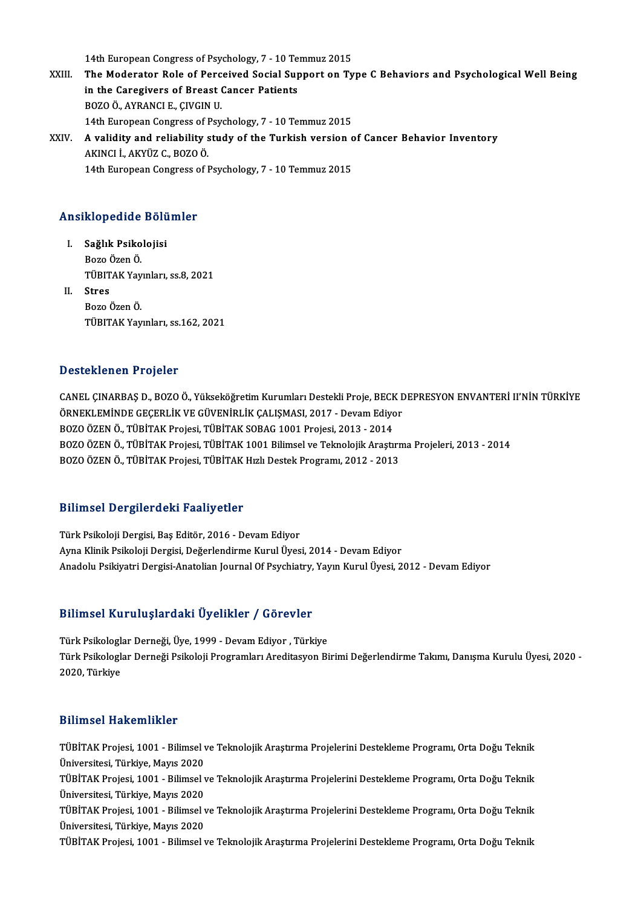14th European Congress of Psychology, 7 - 10 Temmuz 2015<br>The Moderator Bole of Perseived Social Support on Ty

- XXIII. The Moderator Role of Perceived Social Support on Type C Behaviors and Psychological Well Being<br>in the Caregivers of Breast Cancer Patients 14th European Congress of Psychology, 7 - 10 Te<br>The Moderator Role of Perceived Social Sup<br>in the Caregivers of Breast Cancer Patients<br>POZOÖ AVRANCLE CIVCIN U BOZOÖ.,AYRANCIE.,ÇIVGINU. in the Caregivers of Breast Cancer Patients<br>BOZO Ö., AYRANCI E., ÇIVGIN U.<br>14th European Congress of Psychology, 7 - 10 Temmuz 2015<br>A validity and reliability study of the Turkish version s BOZO Ö., AYRANCI E., ÇIVGIN U.<br>14th European Congress of Psychology, 7 - 10 Temmuz 2015<br>XXIV. A validity and reliability study of the Turkish version of Cancer Behavior Inventory 14th European Congress of I<br>A validity and reliability s<br>AKINCI İ., AKYÜZ C., BOZO Ö.<br>14th European Congress of I
- A validity and reliability study of the Turkish version c<br>AKINCI İ., AKYÜZ C., BOZO Ö.<br>14th European Congress of Psychology, 7 10 Temmuz 2015 14th European Congress of Psychology, 7 - 10 Temmuz 2015<br>Ansiklopedide Bölümler

- nsiklopedide Bölü<br>I. Sağlık Psikolojisi<br>Bore Ösen Ö mopearae<br>Sağlık Psiko<br>Bozo Özen Ö.<br>Tüpıra*v* Vev Bozo Özen Ö.<br>TÜBITAK Yayınları, ss.8, 2021
- II. Stres BozoÖzenÖ. TÜBITAKYayınları, ss.162,2021

#### Desteklenen Projeler

CANEL ÇINARBAŞ D., BOZO Ö., Yükseköğretim Kurumları Destekli Proje, BECK DEPRESYON ENVANTERİ II'NİN TÜRKİYE DƏƏƏMƏMƏM 1 1 0 JOLOI<br>CANEL ÇINARBAŞ D., BOZO Ö., Yükseköğretim Kurumları Destekli Proje, BECK E<br>ÖRNEKLEMİNDE GEÇERLİK VE GÜVENİRLİK ÇALIŞMASI, 2017 - Devam Ediyor<br>POZO ÖZEN Ö. TÜRİTAK Projeci, TÜRİTAK SORAÇ 1991 Projeci, CANEL ÇINARBAŞ D., BOZO Ö., Yükseköğretim Kurumları Destekli Proje, BECK<br>ÖRNEKLEMİNDE GEÇERLİK VE GÜVENİRLİK ÇALIŞMASI, 2017 - Devam Ediyo<br>BOZO ÖZEN Ö., TÜBİTAK Projesi, TÜBİTAK SOBAG 1001 Projesi, 2013 - 2014<br>BOZO ÖZEN Ö. BOZO ÖZEN Ö., TÜBİTAK Projesi, TÜBİTAK 1001 Bilimsel ve Teknolojik Araştırma Projeleri, 2013 - 2014<br>BOZO ÖZEN Ö., TÜBİTAK Projesi, TÜBİTAK Hızlı Destek Programı, 2012 - 2013 BOZO ÖZEN Ö., TÜBİTAK Projesi, TÜBİTAK SOBAG 1001 Projesi, 2013 - 2014

#### Bilimsel Dergilerdeki Faaliyetler

Türk Psikoloji Dergisi, Baş Editör, 2016 - Devam Ediyor Ayna Klinik Psikoloji Dergisi, Değerlendirme Kurul Üyesi, 2014 - Devam Ediyor Anadolu Psikiyatri Dergisi-Anatolian Journal Of Psychiatry, Yayın Kurul Üyesi, 2012 - Devam Ediyor

# Anadolu Psıkıyatrı bergisi-Anatollan journal ol Psychiatry,<br>Bilimsel Kuruluşlardaki Üyelikler / Görevler

Bilimsel Kuruluşlardaki Üyelikler / Görevler<br>Türk Psikologlar Derneği, Üye, 1999 - Devam Ediyor , Türkiye<br>Türk Psikologlar Derneği, Brikoloji Programları Araditasyon Pi Türk Psikologlar Derneği Psikoloji Programları Areditasyon Birimi Değerlendirme Takımı, Danışma Kurulu Üyesi, 2020 -<br>2020, Türkiye Türk Psikologlar Derneği, Üye, 1999 - Devam Ediyor, Türkiye

### Bilimsel Hakemlikler

Bilimsel Hakemlikler<br>TÜBİTAK Projesi, 1001 - Bilimsel ve Teknolojik Araştırma Projelerini Destekleme Programı, Orta Doğu Teknik<br>Ühiversitesi Türkiye Mayıs 2020 MANDER TRANSMANDER<br>TÜBİTAK Projesi, 1001 - Bilimsel v<br>Üniversitesi, Türkiye, Mayıs 2020<br>TÜBİTAK Projesi, 1001 - Bilimsel v TÜBİTAK Projesi, 1001 - Bilimsel ve Teknolojik Araştırma Projelerini Destekleme Programı, Orta Doğu Teknik<br>Üniversitesi, Türkiye, Mayıs 2020<br>TÜBİTAK Projesi, 1001 - Bilimsel ve Teknolojik Araştırma Projelerini Destekleme P Üniversitesi, Türkiye, Mayıs 2020<br>TÜBİTAK Projesi, 1001 - Bilimsel v<br>Üniversitesi, Türkiye, Mayıs 2020<br>TÜBİTAK Projesi, 1001 - Bilimsel v TÜBİTAK Projesi, 1001 - Bilimsel ve Teknolojik Araştırma Projelerini Destekleme Programı, Orta Doğu Teknik<br>Üniversitesi, Türkiye, Mayıs 2020<br>TÜBİTAK Projesi, 1001 - Bilimsel ve Teknolojik Araştırma Projelerini Destekleme P Üniversitesi, Türkiye, Mayıs 2020<br>TÜBİTAK Projesi, 1001 - Bilimsel ve Teknolojik Araştırma Projelerini Destekleme Programı, Orta Doğu Teknik<br>Üniversitesi, Türkiye, Mayıs 2020 TÜBİTAK Projesi, 1001 - Bilimsel ve Teknolojik Araştırma Projelerini Destekleme Programı, Orta Doğu Teknik